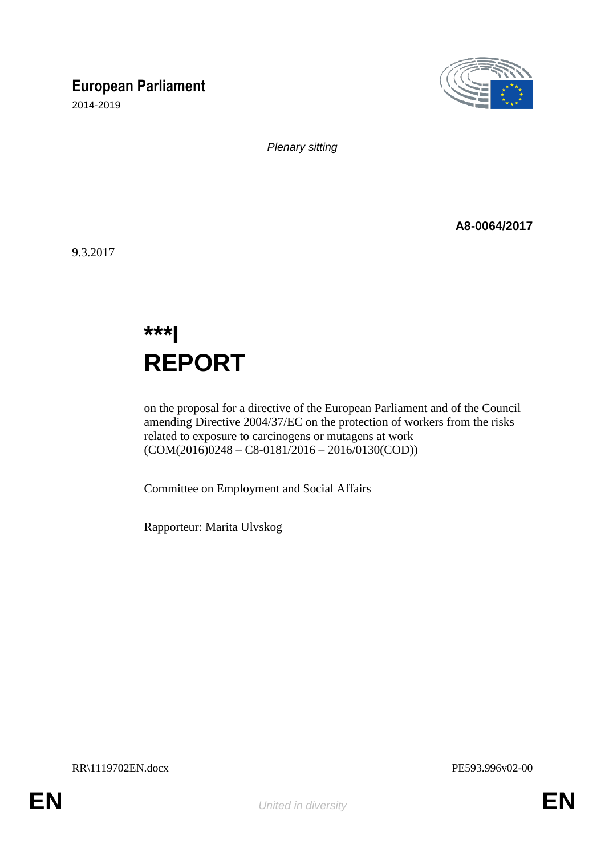# **European Parliament**

2014-2019



*Plenary sitting*

**A8-0064/2017**

9.3.2017

**\*\*\*I REPORT**

on the proposal for a directive of the European Parliament and of the Council amending Directive 2004/37/EC on the protection of workers from the risks related to exposure to carcinogens or mutagens at work (COM(2016)0248 – C8-0181/2016 – 2016/0130(COD))

Committee on Employment and Social Affairs

Rapporteur: Marita Ulvskog

RR\1119702EN.docx PE593.996v02-00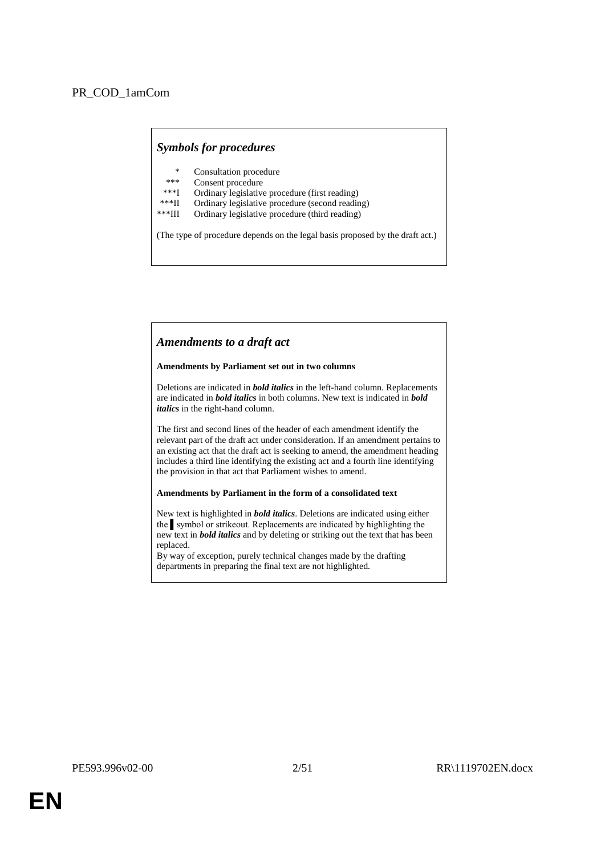#### *Symbols for procedures*

- \* Consultation procedure
- \*\*\* Consent procedure<br>\*\*\*I Ordinary legislative
- \*\*\*I Ordinary legislative procedure (first reading)<br>\*\*\*II Ordinary legislative procedure (second reading)
- Ordinary legislative procedure (second reading)
- \*\*\*III Ordinary legislative procedure (third reading)

(The type of procedure depends on the legal basis proposed by the draft act.)

### *Amendments to a draft act*

#### **Amendments by Parliament set out in two columns**

Deletions are indicated in *bold italics* in the left-hand column. Replacements are indicated in *bold italics* in both columns. New text is indicated in *bold italics* in the right-hand column.

The first and second lines of the header of each amendment identify the relevant part of the draft act under consideration. If an amendment pertains to an existing act that the draft act is seeking to amend, the amendment heading includes a third line identifying the existing act and a fourth line identifying the provision in that act that Parliament wishes to amend.

#### **Amendments by Parliament in the form of a consolidated text**

New text is highlighted in *bold italics*. Deletions are indicated using either the ▌symbol or strikeout. Replacements are indicated by highlighting the new text in *bold italics* and by deleting or striking out the text that has been replaced.

By way of exception, purely technical changes made by the drafting departments in preparing the final text are not highlighted.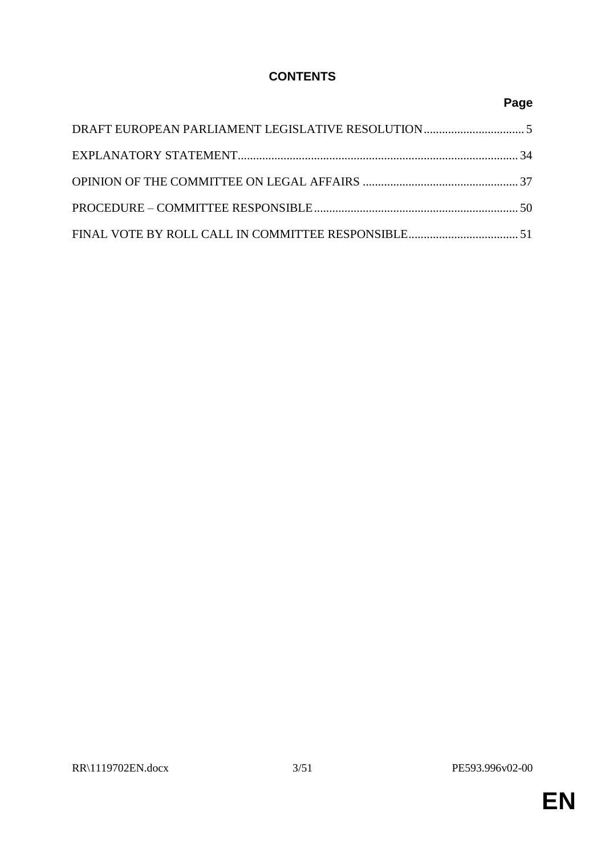# **CONTENTS**

# **Page**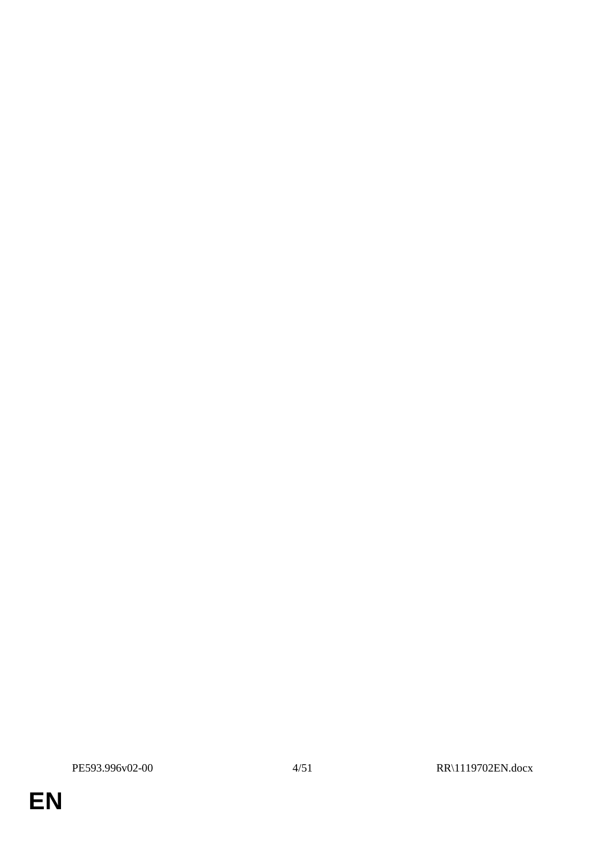PE593.996v02 -00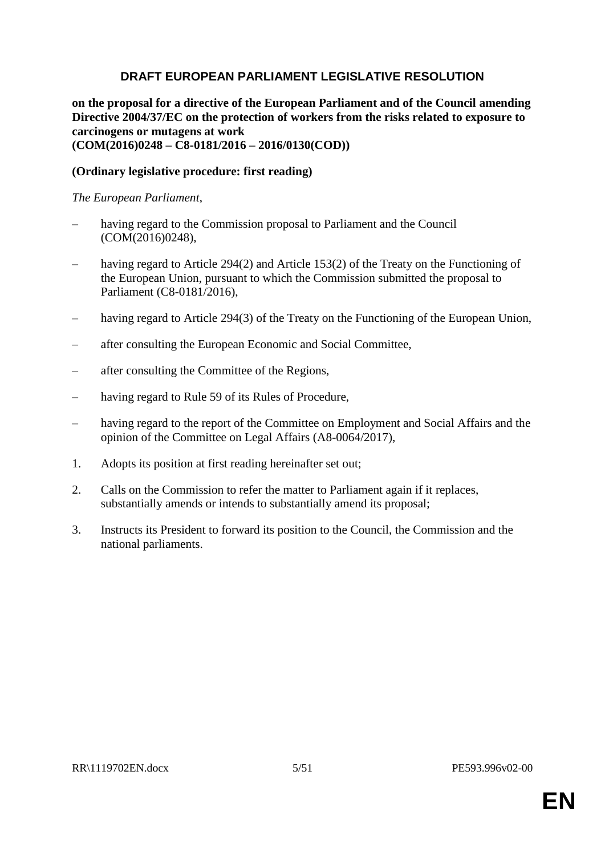## **DRAFT EUROPEAN PARLIAMENT LEGISLATIVE RESOLUTION**

**on the proposal for a directive of the European Parliament and of the Council amending Directive 2004/37/EC on the protection of workers from the risks related to exposure to carcinogens or mutagens at work (COM(2016)0248 – C8-0181/2016 – 2016/0130(COD))**

## **(Ordinary legislative procedure: first reading)**

### *The European Parliament*,

- having regard to the Commission proposal to Parliament and the Council (COM(2016)0248),
- having regard to Article 294(2) and Article 153(2) of the Treaty on the Functioning of the European Union, pursuant to which the Commission submitted the proposal to Parliament (C8-0181/2016),
- having regard to Article 294(3) of the Treaty on the Functioning of the European Union,
- after consulting the European Economic and Social Committee,
- after consulting the Committee of the Regions,
- having regard to Rule 59 of its Rules of Procedure,
- having regard to the report of the Committee on Employment and Social Affairs and the opinion of the Committee on Legal Affairs (A8-0064/2017),
- 1. Adopts its position at first reading hereinafter set out;
- 2. Calls on the Commission to refer the matter to Parliament again if it replaces, substantially amends or intends to substantially amend its proposal;
- 3. Instructs its President to forward its position to the Council, the Commission and the national parliaments.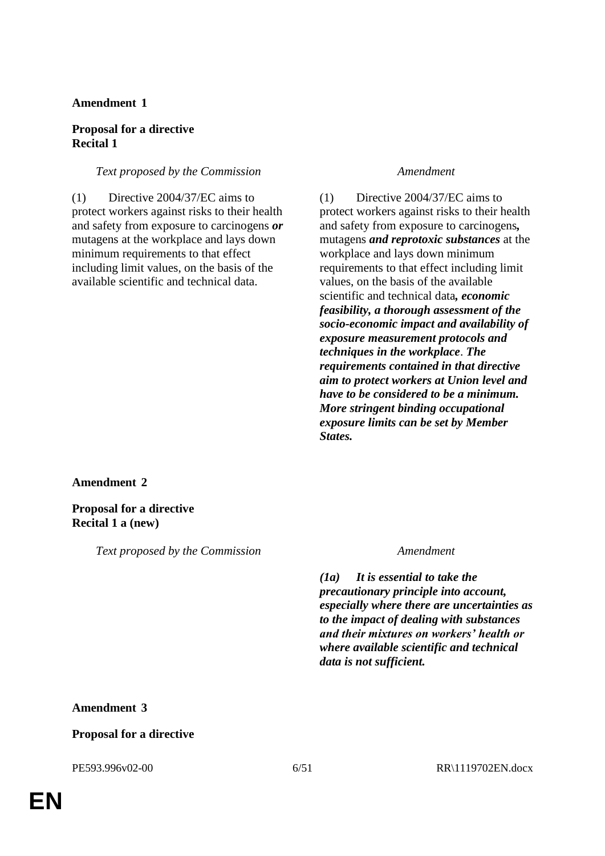## **Amendment 1**

## **Proposal for a directive Recital 1**

## *Text proposed by the Commission Amendment*

(1) Directive 2004/37/EC aims to protect workers against risks to their health and safety from exposure to carcinogens *or*  mutagens at the workplace and lays down minimum requirements to that effect including limit values, on the basis of the available scientific and technical data.

(1) Directive 2004/37/EC aims to protect workers against risks to their health and safety from exposure to carcinogens*,*  mutagens *and reprotoxic substances* at the workplace and lays down minimum requirements to that effect including limit values, on the basis of the available scientific and technical data*, economic feasibility, a thorough assessment of the socio-economic impact and availability of exposure measurement protocols and techniques in the workplace*. *The requirements contained in that directive aim to protect workers at Union level and have to be considered to be a minimum. More stringent binding occupational exposure limits can be set by Member States.*

### **Amendment 2**

## **Proposal for a directive Recital 1 a (new)**

*Text proposed by the Commission Amendment*

*(1a) It is essential to take the precautionary principle into account, especially where there are uncertainties as to the impact of dealing with substances and their mixtures on workers' health or where available scientific and technical data is not sufficient.*

### **Amendment 3**

### **Proposal for a directive**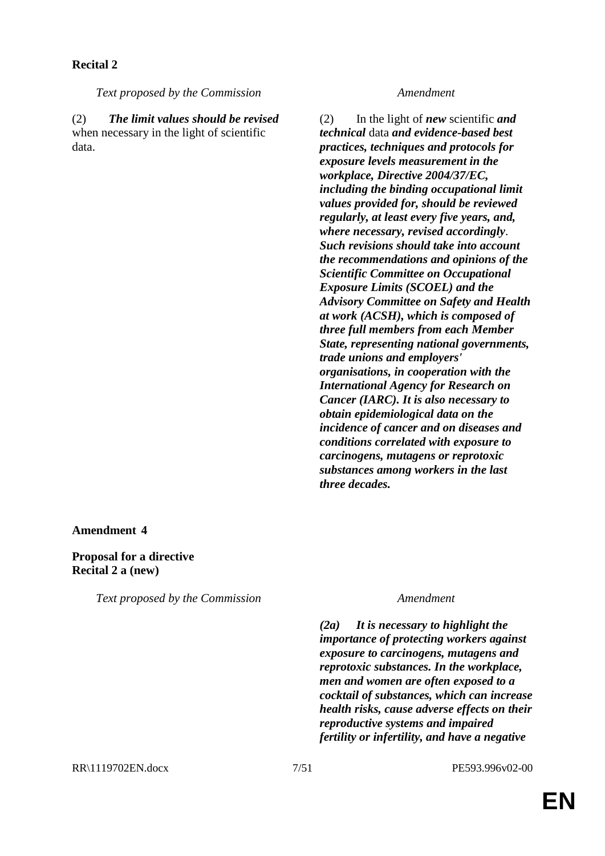## **Recital 2**

*Text proposed by the Commission Amendment*

(2) *The limit values should be revised* when necessary in the light of scientific data.

(2) In the light of *new* scientific *and technical* data *and evidence-based best practices, techniques and protocols for exposure levels measurement in the workplace, Directive 2004/37/EC, including the binding occupational limit values provided for, should be reviewed regularly, at least every five years, and, where necessary, revised accordingly*. *Such revisions should take into account the recommendations and opinions of the Scientific Committee on Occupational Exposure Limits (SCOEL) and the Advisory Committee on Safety and Health at work (ACSH), which is composed of three full members from each Member State, representing national governments, trade unions and employers' organisations, in cooperation with the International Agency for Research on Cancer (IARC). It is also necessary to obtain epidemiological data on the incidence of cancer and on diseases and conditions correlated with exposure to carcinogens, mutagens or reprotoxic substances among workers in the last three decades.*

### **Amendment 4**

**Proposal for a directive Recital 2 a (new)**

*Text proposed by the Commission Amendment*

*(2a) It is necessary to highlight the importance of protecting workers against exposure to carcinogens, mutagens and reprotoxic substances. In the workplace, men and women are often exposed to a cocktail of substances, which can increase health risks, cause adverse effects on their reproductive systems and impaired fertility or infertility, and have a negative* 

RR\1119702EN.docx 7/51 PE593.996v02-00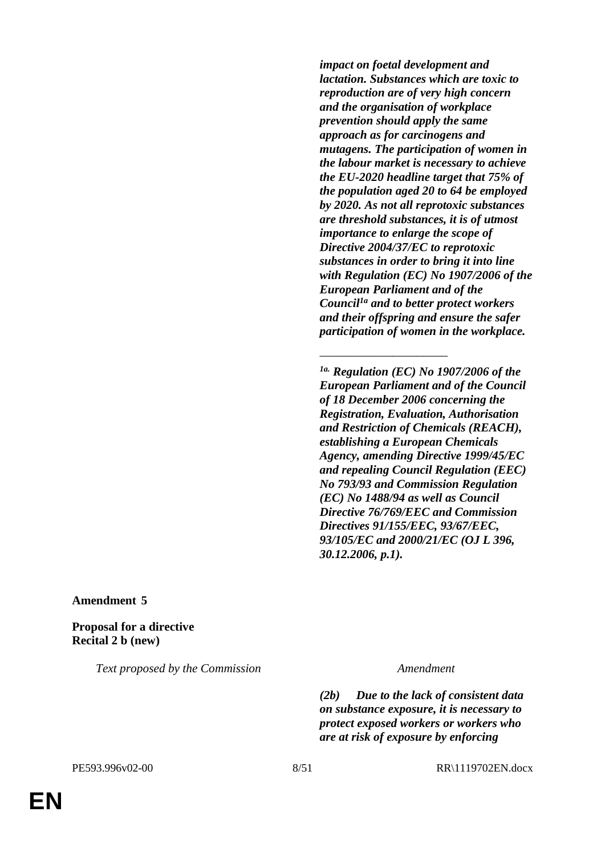*impact on foetal development and lactation. Substances which are toxic to reproduction are of very high concern and the organisation of workplace prevention should apply the same approach as for carcinogens and mutagens. The participation of women in the labour market is necessary to achieve the EU-2020 headline target that 75% of the population aged 20 to 64 be employed by 2020. As not all reprotoxic substances are threshold substances, it is of utmost importance to enlarge the scope of Directive 2004/37/EC to reprotoxic substances in order to bring it into line with Regulation (EC) No 1907/2006 of the European Parliament and of the Council1a and to better protect workers and their offspring and ensure the safer participation of women in the workplace.*

*1a. Regulation (EC) No 1907/2006 of the European Parliament and of the Council of 18 December 2006 concerning the Registration, Evaluation, Authorisation and Restriction of Chemicals (REACH), establishing a European Chemicals Agency, amending Directive 1999/45/EC and repealing Council Regulation (EEC) No 793/93 and Commission Regulation (EC) No 1488/94 as well as Council Directive 76/769/EEC and Commission Directives 91/155/EEC, 93/67/EEC, 93/105/EC and 2000/21/EC (OJ L 396, 30.12.2006, p.1).*

\_\_\_\_\_\_\_\_\_\_\_\_\_\_\_\_\_\_\_\_\_

**Amendment 5**

**Proposal for a directive Recital 2 b (new)**

*Text proposed by the Commission Amendment*

*(2b) Due to the lack of consistent data on substance exposure, it is necessary to protect exposed workers or workers who are at risk of exposure by enforcing*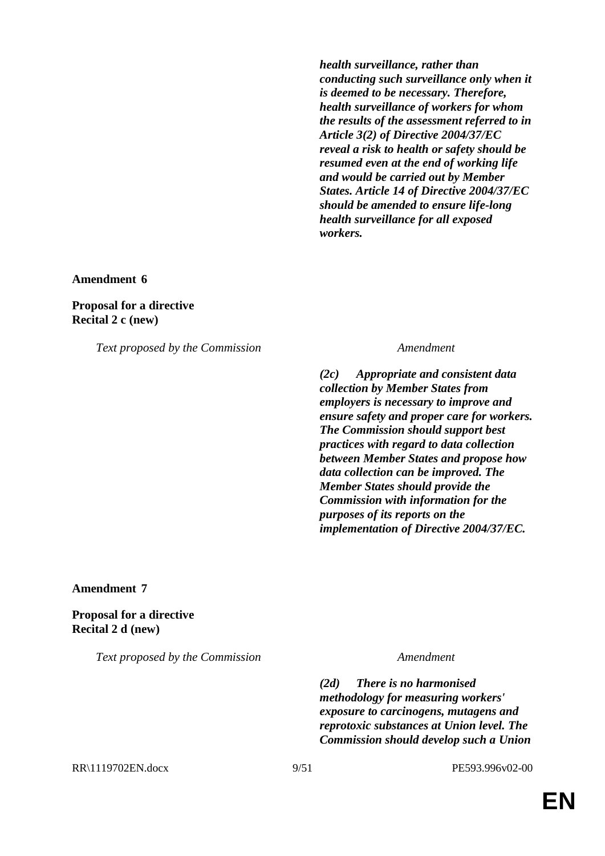*health surveillance, rather than conducting such surveillance only when it is deemed to be necessary. Therefore, health surveillance of workers for whom the results of the assessment referred to in Article 3(2) of Directive 2004/37/EC reveal a risk to health or safety should be resumed even at the end of working life and would be carried out by Member States. Article 14 of Directive 2004/37/EC should be amended to ensure life-long health surveillance for all exposed workers.*

**Amendment 6**

**Proposal for a directive Recital 2 c (new)**

*Text proposed by the Commission Amendment*

*(2c) Appropriate and consistent data collection by Member States from employers is necessary to improve and ensure safety and proper care for workers. The Commission should support best practices with regard to data collection between Member States and propose how data collection can be improved. The Member States should provide the Commission with information for the purposes of its reports on the implementation of Directive 2004/37/EC.*

**Amendment 7**

**Proposal for a directive Recital 2 d (new)**

*Text proposed by the Commission Amendment*

*(2d) There is no harmonised methodology for measuring workers' exposure to carcinogens, mutagens and reprotoxic substances at Union level. The Commission should develop such a Union*

#### RR\1119702EN.docx 9/51 PE593.996v02-00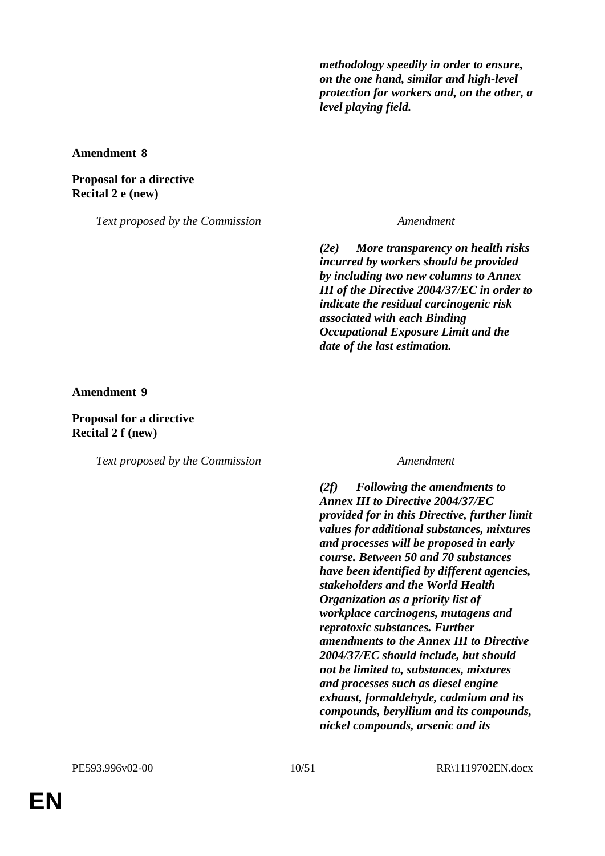*methodology speedily in order to ensure, on the one hand, similar and high-level protection for workers and, on the other, a level playing field.*

**Amendment 8**

**Proposal for a directive Recital 2 e (new)**

*Text proposed by the Commission Amendment*

*(2e) More transparency on health risks incurred by workers should be provided by including two new columns to Annex III of the Directive 2004/37/EC in order to indicate the residual carcinogenic risk associated with each Binding Occupational Exposure Limit and the date of the last estimation.*

**Amendment 9**

**Proposal for a directive Recital 2 f (new)**

*Text proposed by the Commission Amendment*

*(2f) Following the amendments to Annex III to Directive 2004/37/EC provided for in this Directive, further limit values for additional substances, mixtures and processes will be proposed in early course. Between 50 and 70 substances have been identified by different agencies, stakeholders and the World Health Organization as a priority list of workplace carcinogens, mutagens and reprotoxic substances. Further amendments to the Annex III to Directive 2004/37/EC should include, but should not be limited to, substances, mixtures and processes such as diesel engine exhaust, formaldehyde, cadmium and its compounds, beryllium and its compounds, nickel compounds, arsenic and its*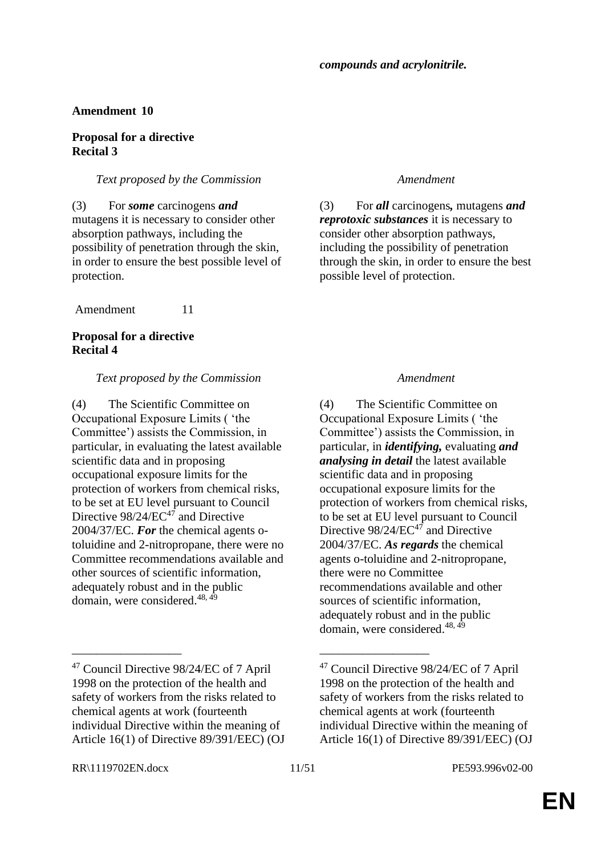## **Amendment 10**

### **Proposal for a directive Recital 3**

## *Text proposed by the Commission Amendment*

(3) For *some* carcinogens *and* mutagens it is necessary to consider other absorption pathways, including the possibility of penetration through the skin, in order to ensure the best possible level of protection.

Amendment 11

## **Proposal for a directive Recital 4**

## *Text proposed by the Commission Amendment*

(4) The Scientific Committee on Occupational Exposure Limits ( 'the Committee') assists the Commission, in particular, in evaluating the latest available scientific data and in proposing occupational exposure limits for the protection of workers from chemical risks, to be set at EU level pursuant to Council Directive  $98/24/EC^{47}$  and Directive 2004/37/EC. *For* the chemical agents otoluidine and 2-nitropropane, there were no Committee recommendations available and other sources of scientific information, adequately robust and in the public domain, were considered.<sup>48, 49</sup>

(3) For *all* carcinogens*,* mutagens *and reprotoxic substances* it is necessary to consider other absorption pathways, including the possibility of penetration through the skin, in order to ensure the best possible level of protection.

(4) The Scientific Committee on Occupational Exposure Limits ( 'the Committee') assists the Commission, in particular, in *identifying,* evaluating *and analysing in detail* the latest available scientific data and in proposing occupational exposure limits for the protection of workers from chemical risks, to be set at EU level pursuant to Council Directive  $98/24/EC^{47}$  and Directive 2004/37/EC. *As regards* the chemical agents o-toluidine and 2-nitropropane, there were no Committee recommendations available and other sources of scientific information, adequately robust and in the public domain, were considered.<sup>48,  $49$ </sup>

\_\_\_\_\_\_\_\_\_\_\_\_\_\_\_\_\_\_ \_\_\_\_\_\_\_\_\_\_\_\_\_\_\_\_\_\_

<sup>47</sup> Council Directive 98/24/EC of 7 April 1998 on the protection of the health and safety of workers from the risks related to chemical agents at work (fourteenth individual Directive within the meaning of Article 16(1) of Directive 89/391/EEC) (OJ

<sup>47</sup> Council Directive 98/24/EC of 7 April 1998 on the protection of the health and safety of workers from the risks related to chemical agents at work (fourteenth individual Directive within the meaning of Article 16(1) of Directive 89/391/EEC) (OJ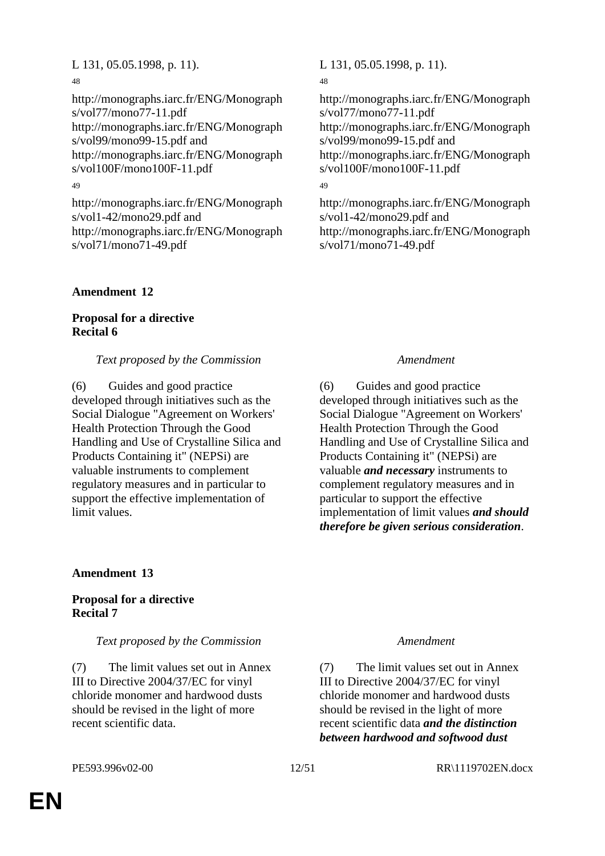L 131, 05.05.1998, p. 11). L 131, 05.05.1998, p. 11).

#### 48

http://monographs.iarc.fr/ENG/Monograph s/vol77/mono77-11.pdf http://monographs.iarc.fr/ENG/Monograph s/vol99/mono99-15.pdf and http://monographs.iarc.fr/ENG/Monograph s/vol100F/mono100F-11.pdf 49

http://monographs.iarc.fr/ENG/Monograph s/vol1-42/mono29.pdf and http://monographs.iarc.fr/ENG/Monograph s/vol71/mono71-49.pdf

## **Amendment 12**

## **Proposal for a directive Recital 6**

## *Text proposed by the Commission Amendment*

(6) Guides and good practice developed through initiatives such as the Social Dialogue "Agreement on Workers' Health Protection Through the Good Handling and Use of Crystalline Silica and Products Containing it" (NEPSi) are valuable instruments to complement regulatory measures and in particular to support the effective implementation of limit values.

### 48

http://monographs.iarc.fr/ENG/Monograph s/vol77/mono77-11.pdf http://monographs.iarc.fr/ENG/Monograph s/vol99/mono99-15.pdf and http://monographs.iarc.fr/ENG/Monograph s/vol100F/mono100F-11.pdf 49 http://monographs.iarc.fr/ENG/Monograph

s/vol1-42/mono29.pdf and http://monographs.iarc.fr/ENG/Monograph s/vol71/mono71-49.pdf

(6) Guides and good practice developed through initiatives such as the Social Dialogue "Agreement on Workers' Health Protection Through the Good Handling and Use of Crystalline Silica and Products Containing it" (NEPSi) are valuable *and necessary* instruments to complement regulatory measures and in particular to support the effective implementation of limit values *and should therefore be given serious consideration*.

## **Amendment 13**

## **Proposal for a directive Recital 7**

## *Text proposed by the Commission Amendment*

(7) The limit values set out in Annex III to Directive 2004/37/EC for vinyl chloride monomer and hardwood dusts should be revised in the light of more recent scientific data.

(7) The limit values set out in Annex III to Directive 2004/37/EC for vinyl chloride monomer and hardwood dusts should be revised in the light of more recent scientific data *and the distinction between hardwood and softwood dust*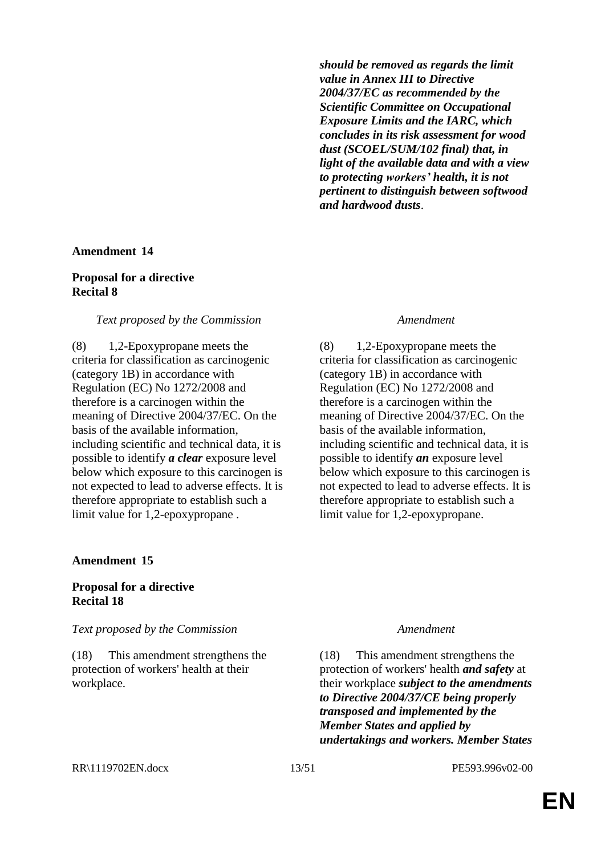*should be removed as regards the limit value in Annex III to Directive 2004/37/EC as recommended by the Scientific Committee on Occupational Exposure Limits and the IARC, which concludes in its risk assessment for wood dust (SCOEL/SUM/102 final) that, in light of the available data and with a view to protecting workers' health, it is not pertinent to distinguish between softwood and hardwood dusts*.

#### **Amendment 14**

#### **Proposal for a directive Recital 8**

#### *Text proposed by the Commission Amendment*

(8) 1,2-Epoxypropane meets the criteria for classification as carcinogenic (category 1B) in accordance with Regulation (EC) No 1272/2008 and therefore is a carcinogen within the meaning of Directive 2004/37/EC. On the basis of the available information, including scientific and technical data, it is possible to identify *a clear* exposure level below which exposure to this carcinogen is not expected to lead to adverse effects. It is therefore appropriate to establish such a limit value for 1,2-epoxypropane .

(8) 1,2-Epoxypropane meets the criteria for classification as carcinogenic (category 1B) in accordance with Regulation (EC) No 1272/2008 and therefore is a carcinogen within the meaning of Directive 2004/37/EC. On the basis of the available information, including scientific and technical data, it is possible to identify *an* exposure level below which exposure to this carcinogen is not expected to lead to adverse effects. It is therefore appropriate to establish such a limit value for 1,2-epoxypropane.

#### **Amendment 15**

### **Proposal for a directive Recital 18**

*Text proposed by the Commission Amendment*

(18) This amendment strengthens the protection of workers' health at their workplace.

(18) This amendment strengthens the protection of workers' health *and safety* at their workplace *subject to the amendments to Directive 2004/37/CE being properly transposed and implemented by the Member States and applied by undertakings and workers. Member States* 

#### RR\1119702EN.docx 13/51 PE593.996v02-00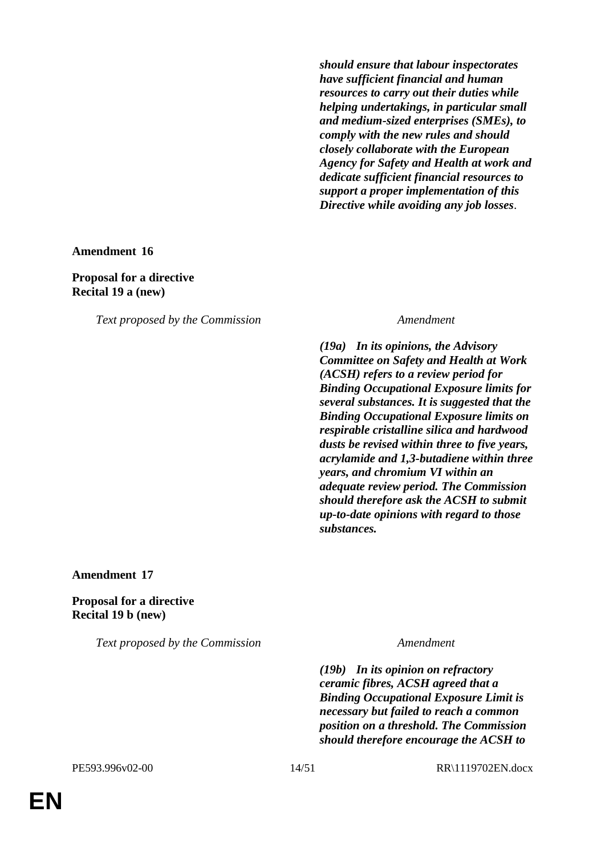*should ensure that labour inspectorates have sufficient financial and human resources to carry out their duties while helping undertakings, in particular small and medium-sized enterprises (SMEs), to comply with the new rules and should closely collaborate with the European Agency for Safety and Health at work and dedicate sufficient financial resources to support a proper implementation of this Directive while avoiding any job losses*.

**Amendment 16**

**Proposal for a directive Recital 19 a (new)**

*Text proposed by the Commission Amendment*

*(19a) In its opinions, the Advisory Committee on Safety and Health at Work (ACSH) refers to a review period for Binding Occupational Exposure limits for several substances. It is suggested that the Binding Occupational Exposure limits on respirable cristalline silica and hardwood dusts be revised within three to five years, acrylamide and 1,3-butadiene within three years, and chromium VI within an adequate review period. The Commission should therefore ask the ACSH to submit up-to-date opinions with regard to those substances.*

**Amendment 17**

**Proposal for a directive Recital 19 b (new)**

*Text proposed by the Commission Amendment*

*(19b) In its opinion on refractory ceramic fibres, ACSH agreed that a Binding Occupational Exposure Limit is necessary but failed to reach a common position on a threshold. The Commission should therefore encourage the ACSH to*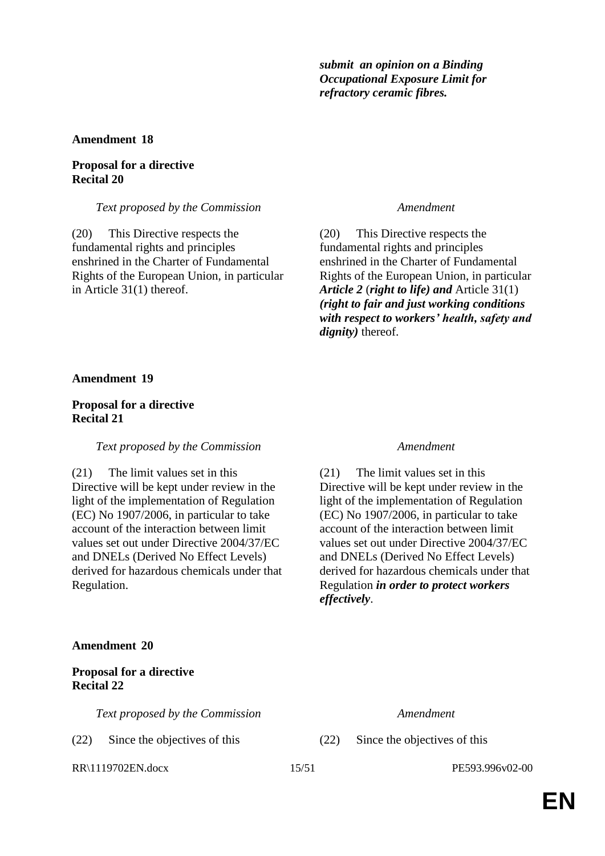*submit an opinion on a Binding Occupational Exposure Limit for refractory ceramic fibres.*

### **Amendment 18**

## **Proposal for a directive Recital 20**

#### *Text proposed by the Commission Amendment*

(20) This Directive respects the fundamental rights and principles enshrined in the Charter of Fundamental Rights of the European Union, in particular in Article 31(1) thereof.

(20) This Directive respects the fundamental rights and principles enshrined in the Charter of Fundamental Rights of the European Union, in particular *Article 2* (*right to life) and* Article 31(1) *(right to fair and just working conditions with respect to workers' health, safety and dignity)* thereof.

#### **Amendment 19**

### **Proposal for a directive Recital 21**

#### *Text proposed by the Commission Amendment*

(21) The limit values set in this Directive will be kept under review in the light of the implementation of Regulation (EC) No 1907/2006, in particular to take account of the interaction between limit values set out under Directive 2004/37/EC and DNELs (Derived No Effect Levels) derived for hazardous chemicals under that Regulation.

(21) The limit values set in this Directive will be kept under review in the light of the implementation of Regulation (EC) No 1907/2006, in particular to take account of the interaction between limit values set out under Directive 2004/37/EC and DNELs (Derived No Effect Levels) derived for hazardous chemicals under that Regulation *in order to protect workers effectively*.

#### **Amendment 20**

#### **Proposal for a directive Recital 22**

*Text proposed by the Commission Amendment*

(22) Since the objectives of this (22) Since the objectives of this

RR\1119702EN.docx 15/51 PE593.996v02-00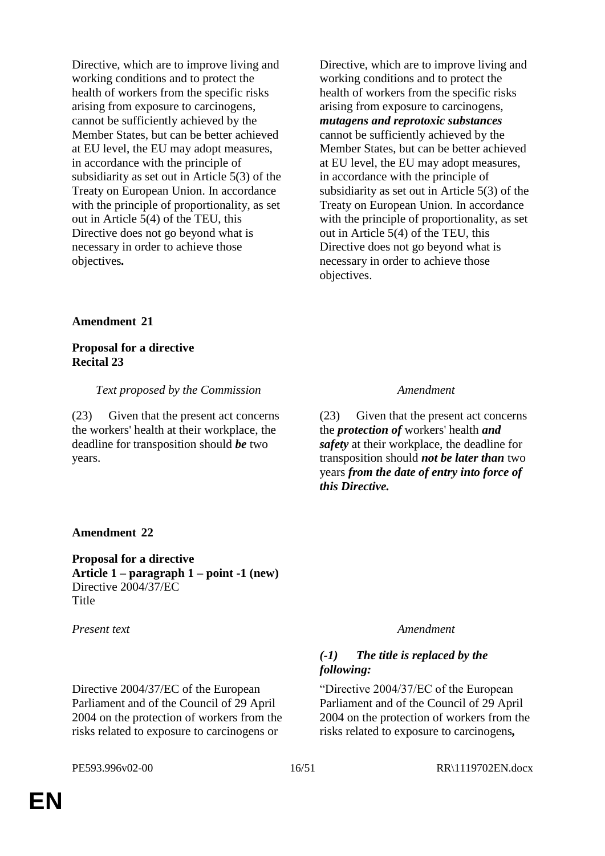Directive, which are to improve living and working conditions and to protect the health of workers from the specific risks arising from exposure to carcinogens, cannot be sufficiently achieved by the Member States, but can be better achieved at EU level, the EU may adopt measures, in accordance with the principle of subsidiarity as set out in Article 5(3) of the Treaty on European Union. In accordance with the principle of proportionality, as set out in Article 5(4) of the TEU, this Directive does not go beyond what is necessary in order to achieve those objectives*.*

Directive, which are to improve living and working conditions and to protect the health of workers from the specific risks arising from exposure to carcinogens, *mutagens and reprotoxic substances* cannot be sufficiently achieved by the Member States, but can be better achieved at EU level, the EU may adopt measures, in accordance with the principle of subsidiarity as set out in Article 5(3) of the Treaty on European Union. In accordance with the principle of proportionality, as set out in Article 5(4) of the TEU, this Directive does not go beyond what is necessary in order to achieve those objectives.

### **Amendment 21**

#### **Proposal for a directive Recital 23**

*Text proposed by the Commission Amendment*

(23) Given that the present act concerns the workers' health at their workplace, the deadline for transposition should *be* two years.

(23) Given that the present act concerns the *protection of* workers' health *and safety* at their workplace, the deadline for transposition should *not be later than* two years *from the date of entry into force of this Directive.*

### **Amendment 22**

**Proposal for a directive Article 1 – paragraph 1 – point -1 (new)** Directive 2004/37/EC Title

#### *Present text Amendment*

## *(-1) The title is replaced by the following:*

"Directive 2004/37/EC of the European Parliament and of the Council of 29 April 2004 on the protection of workers from the risks related to exposure to carcinogens*,* 

Directive 2004/37/EC of the European Parliament and of the Council of 29 April 2004 on the protection of workers from the risks related to exposure to carcinogens or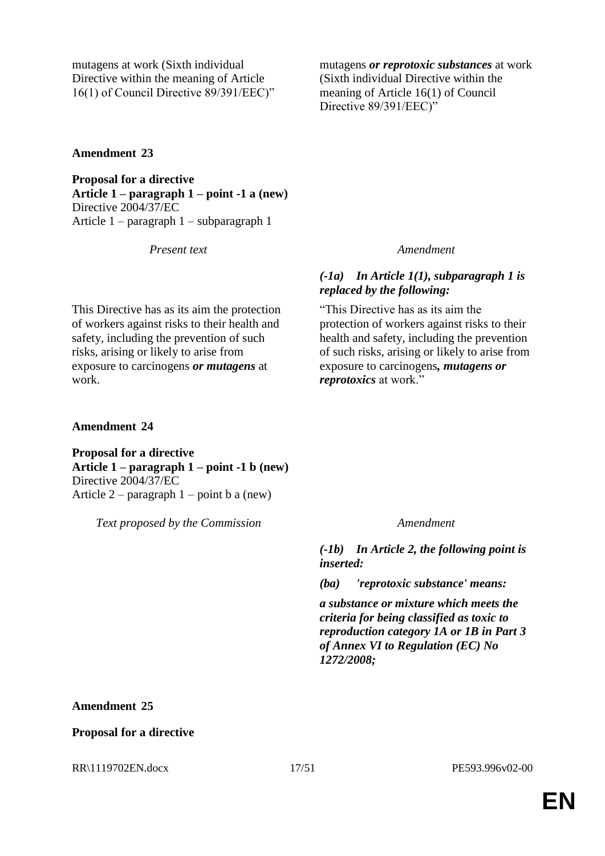mutagens at work (Sixth individual Directive within the meaning of Article 16(1) of Council Directive 89/391/EEC)"

**Amendment 23**

**Proposal for a directive Article 1 – paragraph 1 – point -1 a (new)** Directive 2004/37/EC Article 1 – paragraph 1 – subparagraph 1

*Present text Amendment*

This Directive has as its aim the protection of workers against risks to their health and safety, including the prevention of such risks, arising or likely to arise from exposure to carcinogens *or mutagens* at work.

#### **Amendment 24**

**Proposal for a directive Article 1 – paragraph 1 – point -1 b (new)** Directive 2004/37/EC Article  $2$  – paragraph  $1$  – point b a (new)

*Text proposed by the Commission Amendment*

mutagens *or reprotoxic substances* at work (Sixth individual Directive within the meaning of Article 16(1) of Council Directive 89/391/EEC)"

### *(-1a) In Article 1(1), subparagraph 1 is replaced by the following:*

"This Directive has as its aim the protection of workers against risks to their health and safety, including the prevention of such risks, arising or likely to arise from exposure to carcinogens*, mutagens or reprotoxics* at work."

*(-1b) In Article 2, the following point is inserted:*

*(ba) 'reprotoxic substance' means:*

*a substance or mixture which meets the criteria for being classified as toxic to reproduction category 1A or 1B in Part 3 of Annex VI to Regulation (EC) No 1272/2008;* 

### **Amendment 25**

#### **Proposal for a directive**

RR\1119702EN.docx 17/51 PE593.996v02-00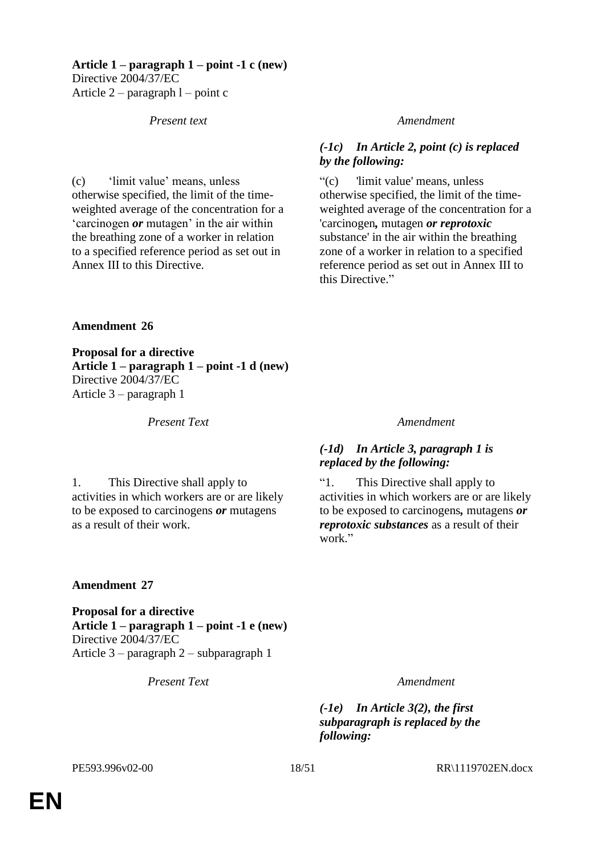**Article 1 – paragraph 1 – point -1 c (new)** Directive 2004/37/EC Article 2 – paragraph l – point c

(c) 'limit value' means, unless otherwise specified, the limit of the timeweighted average of the concentration for a 'carcinogen *or* mutagen' in the air within the breathing zone of a worker in relation to a specified reference period as set out in Annex III to this Directive.

*Present text Amendment*

## *(-1c) In Article 2, point (c) is replaced by the following:*

"(c) 'limit value' means, unless otherwise specified, the limit of the timeweighted average of the concentration for a 'carcinogen*,* mutagen *or reprotoxic*  substance' in the air within the breathing zone of a worker in relation to a specified reference period as set out in Annex III to this Directive."

**Amendment 26**

**Proposal for a directive Article 1 – paragraph 1 – point -1 d (new)** Directive 2004/37/EC Article 3 – paragraph 1

*Present Text Amendment*

1. This Directive shall apply to activities in which workers are or are likely to be exposed to carcinogens *or* mutagens as a result of their work.

### *(-1d) In Article 3, paragraph 1 is replaced by the following:*

"1. This Directive shall apply to activities in which workers are or are likely to be exposed to carcinogens*,* mutagens *or reprotoxic substances* as a result of their work."

#### **Amendment 27**

**Proposal for a directive Article 1 – paragraph 1 – point -1 e (new)** Directive 2004/37/EC Article 3 – paragraph 2 – subparagraph 1

*Present Text Amendment*

*(-1e) In Article 3(2), the first subparagraph is replaced by the following:*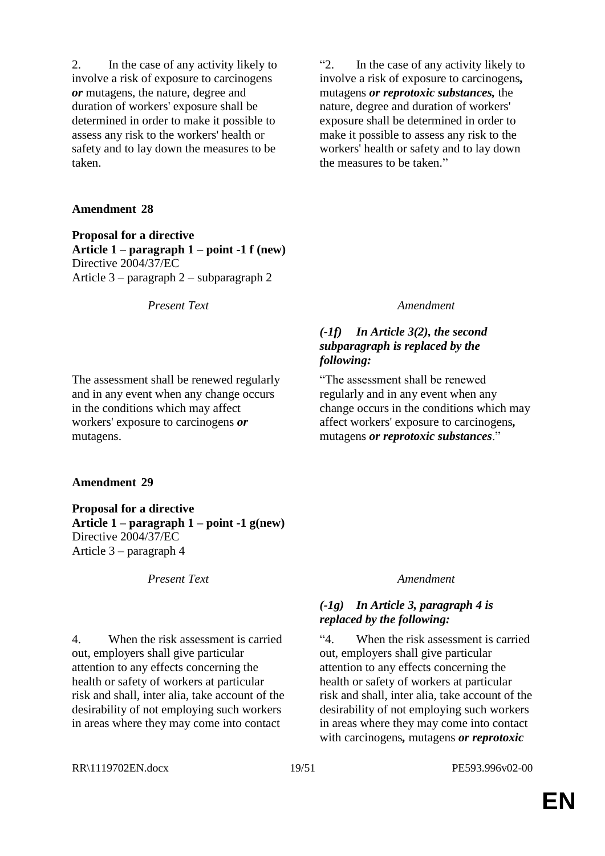2. In the case of any activity likely to involve a risk of exposure to carcinogens *or* mutagens, the nature, degree and duration of workers' exposure shall be determined in order to make it possible to assess any risk to the workers' health or safety and to lay down the measures to be taken.

### **Amendment 28**

**Proposal for a directive Article 1 – paragraph 1 – point -1 f (new)** Directive 2004/37/EC Article 3 – paragraph 2 – subparagraph 2

*Present Text Amendment*

The assessment shall be renewed regularly and in any event when any change occurs in the conditions which may affect workers' exposure to carcinogens *or*  mutagens.

### **Amendment 29**

**Proposal for a directive Article 1 – paragraph 1 – point -1 g(new)** Directive 2004/37/EC Article 3 – paragraph 4

*Present Text Amendment*

4. When the risk assessment is carried out, employers shall give particular attention to any effects concerning the health or safety of workers at particular risk and shall, inter alia, take account of the desirability of not employing such workers in areas where they may come into contact

RR\1119702EN.docx 19/51 PE593.996v02-00

"2. In the case of any activity likely to involve a risk of exposure to carcinogens*,* mutagens *or reprotoxic substances,* the nature, degree and duration of workers' exposure shall be determined in order to make it possible to assess any risk to the workers' health or safety and to lay down the measures to be taken."

## *(-1f) In Article 3(2), the second subparagraph is replaced by the following:*

"The assessment shall be renewed regularly and in any event when any change occurs in the conditions which may affect workers' exposure to carcinogens*,*  mutagens *or reprotoxic substances*."

### *(-1g) In Article 3, paragraph 4 is replaced by the following:*

"4. When the risk assessment is carried out, employers shall give particular attention to any effects concerning the health or safety of workers at particular risk and shall, inter alia, take account of the desirability of not employing such workers in areas where they may come into contact with carcinogens*,* mutagens *or reprotoxic*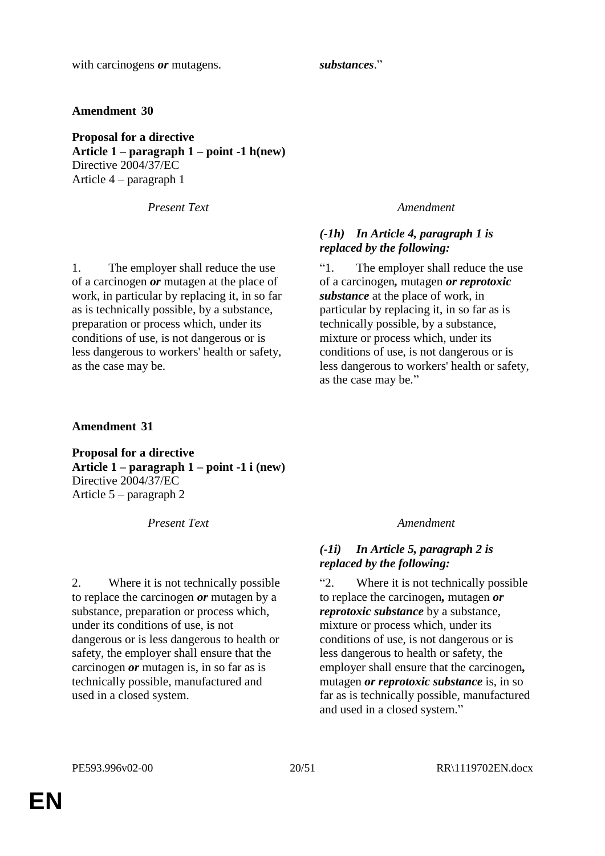with carcinogens *or* mutagens. *substances*."

## **Amendment 30**

**Proposal for a directive Article 1 – paragraph 1 – point -1 h(new)** Directive 2004/37/EC Article 4 – paragraph 1

*Present Text Amendment*

1. The employer shall reduce the use of a carcinogen *or* mutagen at the place of work, in particular by replacing it, in so far as is technically possible, by a substance, preparation or process which, under its conditions of use, is not dangerous or is less dangerous to workers' health or safety, as the case may be.

## **Amendment 31**

**Proposal for a directive Article 1 – paragraph 1 – point -1 i (new)** Directive 2004/37/EC Article 5 – paragraph 2

*Present Text Amendment*

2. Where it is not technically possible to replace the carcinogen *or* mutagen by a substance, preparation or process which, under its conditions of use, is not dangerous or is less dangerous to health or safety, the employer shall ensure that the carcinogen *or* mutagen is, in so far as is technically possible, manufactured and used in a closed system.

## *(-1h) In Article 4, paragraph 1 is replaced by the following:*

"1. The employer shall reduce the use of a carcinogen*,* mutagen *or reprotoxic substance* at the place of work, in particular by replacing it, in so far as is technically possible, by a substance, mixture or process which, under its conditions of use, is not dangerous or is less dangerous to workers' health or safety, as the case may be."

## *(-1i) In Article 5, paragraph 2 is replaced by the following:*

"2. Where it is not technically possible to replace the carcinogen*,* mutagen *or reprotoxic substance* by a substance, mixture or process which, under its conditions of use, is not dangerous or is less dangerous to health or safety, the employer shall ensure that the carcinogen*,* mutagen *or reprotoxic substance* is, in so far as is technically possible, manufactured and used in a closed system."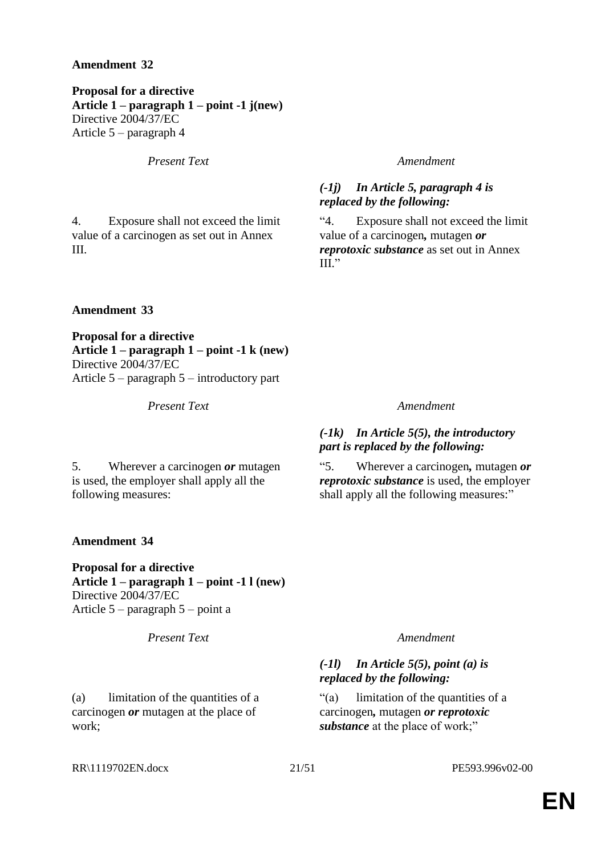## **Amendment 32**

**Proposal for a directive Article 1 – paragraph 1 – point -1 j(new)** Directive 2004/37/EC Article 5 – paragraph 4

*Present Text Amendment*

4. Exposure shall not exceed the limit value of a carcinogen as set out in Annex III.

**Amendment 33**

**Proposal for a directive Article 1 – paragraph 1 – point -1 k (new)** Directive 2004/37/EC Article 5 – paragraph 5 – introductory part

*Present Text Amendment*

5. Wherever a carcinogen *or* mutagen is used, the employer shall apply all the following measures:

### **Amendment 34**

**Proposal for a directive Article 1 – paragraph 1 – point -1 l (new)** Directive 2004/37/EC Article 5 – paragraph 5 – point a

*Present Text Amendment*

(a) limitation of the quantities of a carcinogen *or* mutagen at the place of

## *(-1j) In Article 5, paragraph 4 is replaced by the following:*

"4. Exposure shall not exceed the limit value of a carcinogen*,* mutagen *or reprotoxic substance* as set out in Annex III."

### *(-1k) In Article 5(5), the introductory part is replaced by the following:*

"5. Wherever a carcinogen*,* mutagen *or reprotoxic substance* is used, the employer shall apply all the following measures:"

## *(-1l) In Article 5(5), point (a) is replaced by the following:*

"(a) limitation of the quantities of a carcinogen*,* mutagen *or reprotoxic*  substance at the place of work;"

RR\1119702EN.docx 21/51 PE593.996v02-00

work;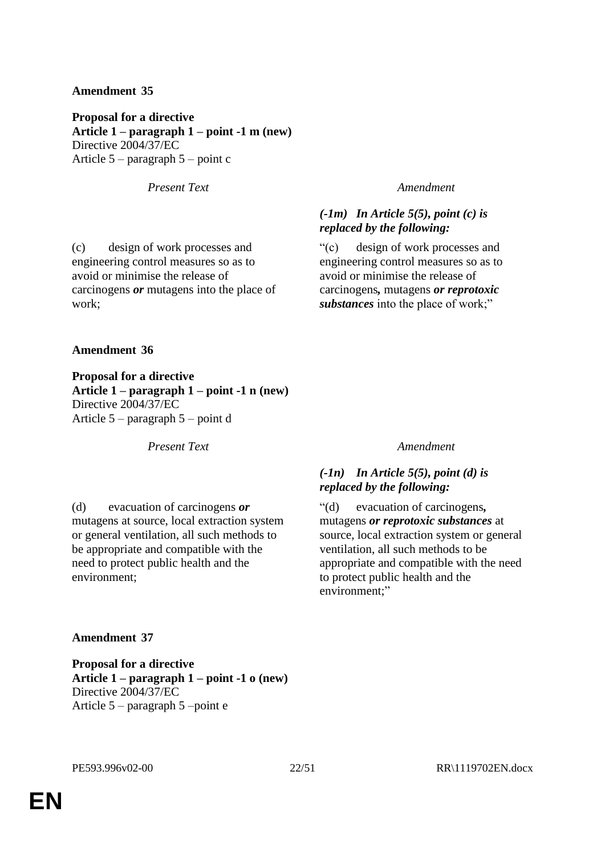## **Amendment 35**

**Proposal for a directive Article 1 – paragraph 1 – point -1 m (new)** Directive 2004/37/EC Article 5 – paragraph 5 – point c

*Present Text Amendment*

(c) design of work processes and engineering control measures so as to avoid or minimise the release of carcinogens *or* mutagens into the place of work;

### *(-1m) In Article 5(5), point (c) is replaced by the following:*

"(c) design of work processes and engineering control measures so as to avoid or minimise the release of carcinogens*,* mutagens *or reprotoxic substances* into the place of work;"

### **Amendment 36**

**Proposal for a directive Article 1 – paragraph 1 – point -1 n (new)** Directive 2004/37/EC Article 5 – paragraph 5 – point d

*Present Text Amendment*

(d) evacuation of carcinogens *or* mutagens at source, local extraction system or general ventilation, all such methods to be appropriate and compatible with the need to protect public health and the environment;

### *(-1n) In Article 5(5), point (d) is replaced by the following:*

"(d) evacuation of carcinogens*,* mutagens *or reprotoxic substances* at source, local extraction system or general ventilation, all such methods to be appropriate and compatible with the need to protect public health and the environment;"

#### **Amendment 37**

**Proposal for a directive Article 1 – paragraph 1 – point -1 o (new)** Directive 2004/37/EC Article 5 – paragraph 5 –point e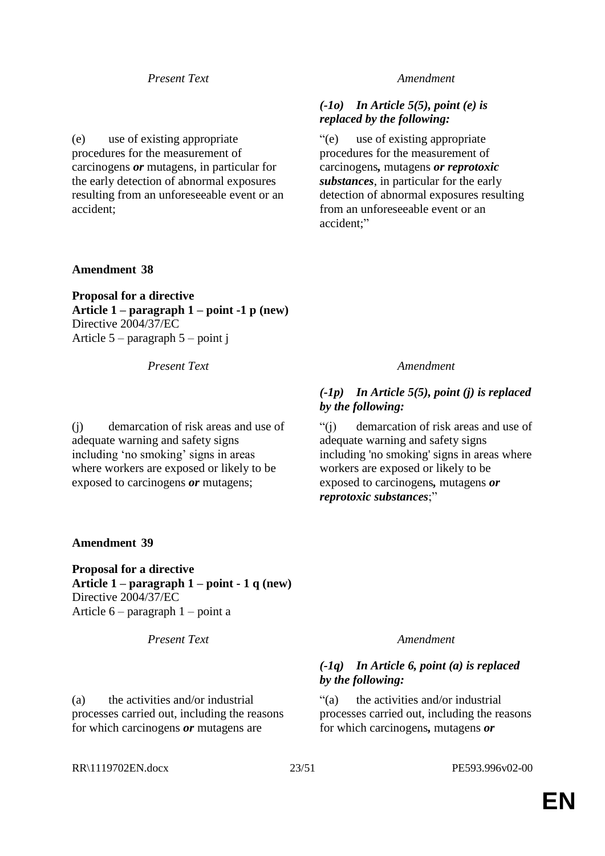## *Present Text Amendment*

(e) use of existing appropriate procedures for the measurement of carcinogens *or* mutagens, in particular for the early detection of abnormal exposures resulting from an unforeseeable event or an accident;

#### **Amendment 38**

**Proposal for a directive Article 1 – paragraph 1 – point -1 p (new)** Directive 2004/37/EC Article 5 – paragraph 5 – point j

*Present Text Amendment*

(j) demarcation of risk areas and use of adequate warning and safety signs including 'no smoking' signs in areas where workers are exposed or likely to be exposed to carcinogens *or* mutagens;

**Amendment 39**

**Proposal for a directive Article 1 – paragraph 1 – point - 1 q (new)** Directive 2004/37/EC Article 6 – paragraph 1 – point a

*Present Text Amendment*

## *(-1o) In Article 5(5), point (e) is replaced by the following:*

"(e) use of existing appropriate procedures for the measurement of carcinogens*,* mutagens *or reprotoxic substances*, in particular for the early detection of abnormal exposures resulting from an unforeseeable event or an accident;"

## *(-1p) In Article 5(5), point (j) is replaced by the following:*

"(j) demarcation of risk areas and use of adequate warning and safety signs including 'no smoking' signs in areas where workers are exposed or likely to be exposed to carcinogens*,* mutagens *or reprotoxic substances*;"

## *(-1q) In Article 6, point (a) is replaced by the following:*

"(a) the activities and/or industrial processes carried out, including the reasons for which carcinogens*,* mutagens *or* 

(a) the activities and/or industrial processes carried out, including the reasons for which carcinogens *or* mutagens are

RR\1119702EN.docx 23/51 PE593.996v02-00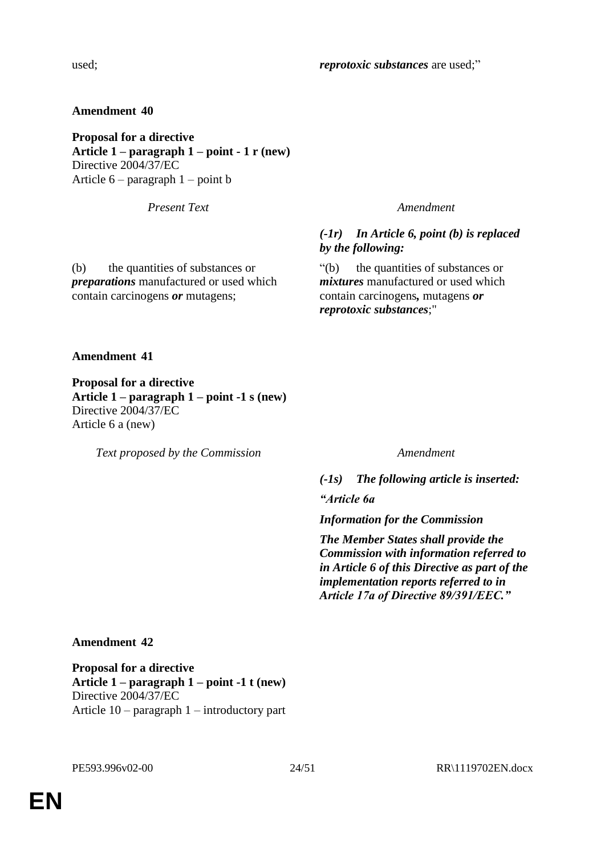used; *reprotoxic substances* are used;"

## **Amendment 40**

**Proposal for a directive Article 1 – paragraph 1 – point - 1 r (new)** Directive 2004/37/EC Article 6 – paragraph 1 – point b

*Present Text Amendment*

(b) the quantities of substances or *preparations* manufactured or used which contain carcinogens *or* mutagens;

## *(-1r) In Article 6, point (b) is replaced by the following:*

"(b) the quantities of substances or *mixtures* manufactured or used which contain carcinogens*,* mutagens *or reprotoxic substances*;"

**Amendment 41**

**Proposal for a directive Article 1 – paragraph 1 – point -1 s (new)** Directive 2004/37/EC Article 6 a (new)

*Text proposed by the Commission Amendment*

*(-1s) The following article is inserted:*

*"Article 6a*

*Information for the Commission*

*The Member States shall provide the Commission with information referred to in Article 6 of this Directive as part of the implementation reports referred to in Article 17a of Directive 89/391/EEC."*

## **Amendment 42**

**Proposal for a directive Article 1 – paragraph 1 – point -1 t (new)** Directive 2004/37/EC Article 10 – paragraph 1 – introductory part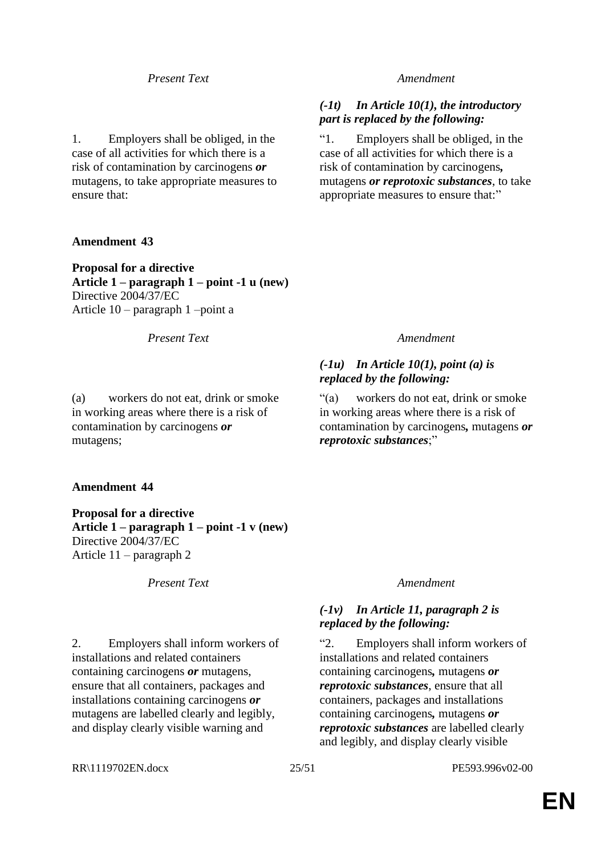### *Present Text Amendment*

1. Employers shall be obliged, in the case of all activities for which there is a risk of contamination by carcinogens *or* mutagens, to take appropriate measures to ensure that:

### **Amendment 43**

**Proposal for a directive Article 1 – paragraph 1 – point -1 u (new)** Directive 2004/37/EC Article 10 – paragraph 1 –point a

*Present Text Amendment*

(a) workers do not eat, drink or smoke in working areas where there is a risk of contamination by carcinogens *or* mutagens;

### **Amendment 44**

**Proposal for a directive Article 1 – paragraph 1 – point -1 v (new)** Directive 2004/37/EC Article 11 – paragraph 2

*Present Text Amendment*

2. Employers shall inform workers of installations and related containers containing carcinogens *or* mutagens, ensure that all containers, packages and installations containing carcinogens *or* mutagens are labelled clearly and legibly, and display clearly visible warning and

## *(-1t) In Article 10(1), the introductory part is replaced by the following:*

"1. Employers shall be obliged, in the case of all activities for which there is a risk of contamination by carcinogens*,* mutagens *or reprotoxic substances*, to take appropriate measures to ensure that:"

### *(-1u) In Article 10(1), point (a) is replaced by the following:*

"(a) workers do not eat, drink or smoke in working areas where there is a risk of contamination by carcinogens*,* mutagens *or reprotoxic substances*;"

## *(-1v) In Article 11, paragraph 2 is replaced by the following:*

"2. Employers shall inform workers of installations and related containers containing carcinogens*,* mutagens *or reprotoxic substances*, ensure that all containers, packages and installations containing carcinogens*,* mutagens *or reprotoxic substances* are labelled clearly and legibly, and display clearly visible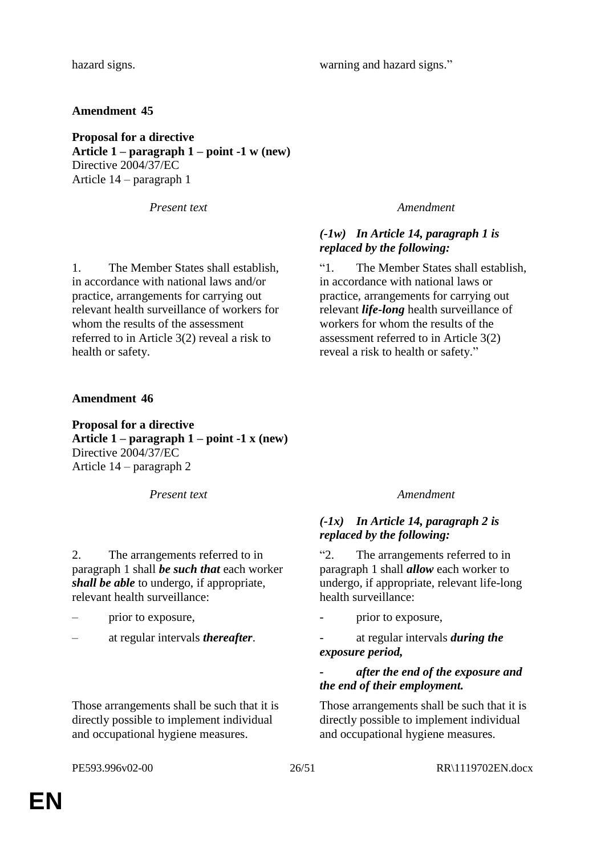## **Amendment 45**

**Proposal for a directive Article 1 – paragraph 1 – point -1 w (new)** Directive 2004/37/EC Article 14 – paragraph 1

*Present text Amendment*

1. The Member States shall establish, in accordance with national laws and/or practice, arrangements for carrying out relevant health surveillance of workers for whom the results of the assessment referred to in Article 3(2) reveal a risk to health or safety.

## **Amendment 46**

**Proposal for a directive Article 1 – paragraph 1 – point -1 x (new)** Directive 2004/37/EC Article 14 – paragraph 2

*Present text Amendment*

## 2. The arrangements referred to in paragraph 1 shall *be such that* each worker *shall be able* to undergo, if appropriate, relevant health surveillance:

- 
- 

Those arrangements shall be such that it is directly possible to implement individual and occupational hygiene measures.

## *(-1w) In Article 14, paragraph 1 is replaced by the following:*

"1. The Member States shall establish, in accordance with national laws or practice, arrangements for carrying out relevant *life-long* health surveillance of workers for whom the results of the assessment referred to in Article 3(2) reveal a risk to health or safety."

## *(-1x) In Article 14, paragraph 2 is replaced by the following:*

"2. The arrangements referred to in paragraph 1 shall *allow* each worker to undergo, if appropriate, relevant life-long health surveillance:

prior to exposure, the set of the exposure, the prior to exposure,

## – at regular intervals *thereafter*. - at regular intervals *during the exposure period,*

## *- after the end of the exposure and the end of their employment.*

Those arrangements shall be such that it is directly possible to implement individual and occupational hygiene measures.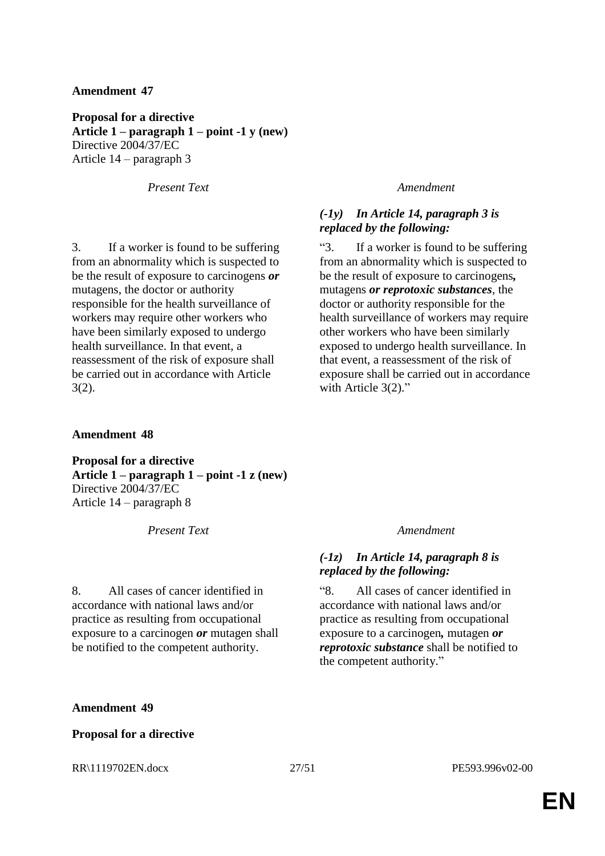### **Amendment 47**

**Proposal for a directive Article 1 – paragraph 1 – point -1 y (new)** Directive 2004/37/EC Article 14 – paragraph 3

*Present Text Amendment*

3. If a worker is found to be suffering from an abnormality which is suspected to be the result of exposure to carcinogens *or* mutagens, the doctor or authority responsible for the health surveillance of workers may require other workers who have been similarly exposed to undergo health surveillance. In that event, a reassessment of the risk of exposure shall be carried out in accordance with Article 3(2).

### **Amendment 48**

**Proposal for a directive Article 1 – paragraph 1 – point -1 z (new)** Directive 2004/37/EC Article 14 – paragraph 8

*Present Text Amendment*

8. All cases of cancer identified in accordance with national laws and/or practice as resulting from occupational exposure to a carcinogen *or* mutagen shall be notified to the competent authority.

### *(-1y) In Article 14, paragraph 3 is replaced by the following:*

"3. If a worker is found to be suffering from an abnormality which is suspected to be the result of exposure to carcinogens*,* mutagens *or reprotoxic substances*, the doctor or authority responsible for the health surveillance of workers may require other workers who have been similarly exposed to undergo health surveillance. In that event, a reassessment of the risk of exposure shall be carried out in accordance with Article 3(2)."

### *(-1z) In Article 14, paragraph 8 is replaced by the following:*

"8. All cases of cancer identified in accordance with national laws and/or practice as resulting from occupational exposure to a carcinogen*,* mutagen *or reprotoxic substance* shall be notified to the competent authority."

#### **Amendment 49**

#### **Proposal for a directive**

RR\1119702EN.docx 27/51 PE593.996v02-00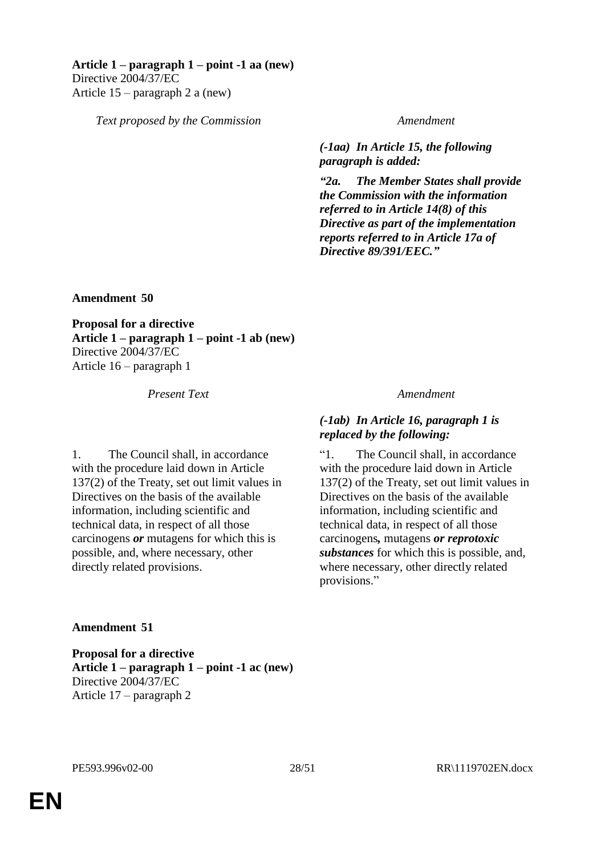**Article 1 – paragraph 1 – point -1 aa (new)** Directive 2004/37/EC Article 15 – paragraph 2 a (new)

*Text proposed by the Commission Amendment*

*(-1aa) In Article 15, the following paragraph is added:*

*"2a. The Member States shall provide the Commission with the information referred to in Article 14(8) of this Directive as part of the implementation reports referred to in Article 17a of Directive 89/391/EEC."*

**Amendment 50**

**Proposal for a directive Article 1 – paragraph 1 – point -1 ab (new)** Directive 2004/37/EC Article 16 – paragraph 1

*Present Text Amendment*

1. The Council shall, in accordance with the procedure laid down in Article 137(2) of the Treaty, set out limit values in Directives on the basis of the available information, including scientific and technical data, in respect of all those carcinogens *or* mutagens for which this is possible, and, where necessary, other directly related provisions.

**Amendment 51**

**Proposal for a directive Article 1 – paragraph 1 – point -1 ac (new)** Directive 2004/37/EC Article 17 – paragraph 2

## *(-1ab) In Article 16, paragraph 1 is replaced by the following:*

"1. The Council shall, in accordance with the procedure laid down in Article 137(2) of the Treaty, set out limit values in Directives on the basis of the available information, including scientific and technical data, in respect of all those carcinogens*,* mutagens *or reprotoxic substances* for which this is possible, and, where necessary, other directly related provisions."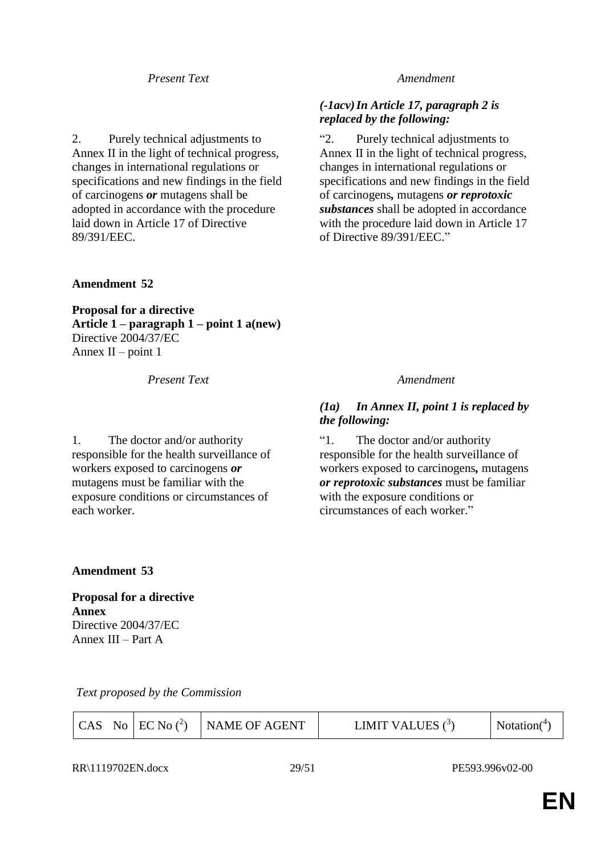## *Present Text Amendment*

2. Purely technical adjustments to Annex II in the light of technical progress, changes in international regulations or specifications and new findings in the field of carcinogens *or* mutagens shall be adopted in accordance with the procedure laid down in Article 17 of Directive 89/391/EEC.

**Amendment 52**

**Proposal for a directive Article 1 – paragraph 1 – point 1 a(new)** Directive 2004/37/EC Annex  $II$  – point 1

*Present Text Amendment*

1. The doctor and/or authority responsible for the health surveillance of workers exposed to carcinogens *or* mutagens must be familiar with the exposure conditions or circumstances of each worker.

## *(-1acv)In Article 17, paragraph 2 is replaced by the following:*

"2. Purely technical adjustments to Annex II in the light of technical progress, changes in international regulations or specifications and new findings in the field of carcinogens*,* mutagens *or reprotoxic substances* shall be adopted in accordance with the procedure laid down in Article 17 of Directive 89/391/EEC."

## *(1a) In Annex II, point 1 is replaced by the following:*

"1. The doctor and/or authority responsible for the health surveillance of workers exposed to carcinogens*,* mutagens *or reprotoxic substances* must be familiar with the exposure conditions or circumstances of each worker."

**Amendment 53**

**Proposal for a directive Annex** Directive 2004/37/EC Annex III – Part A

*Text proposed by the Commission*

|  | $ $ CAS No $ $ EC No $(2)$ | NAME OF AGENT | LIMIT VALUES $(^3)$ | Notation( $4$ ) |
|--|----------------------------|---------------|---------------------|-----------------|
|--|----------------------------|---------------|---------------------|-----------------|

RR\1119702EN.docx 29/51 PE593.996v02-00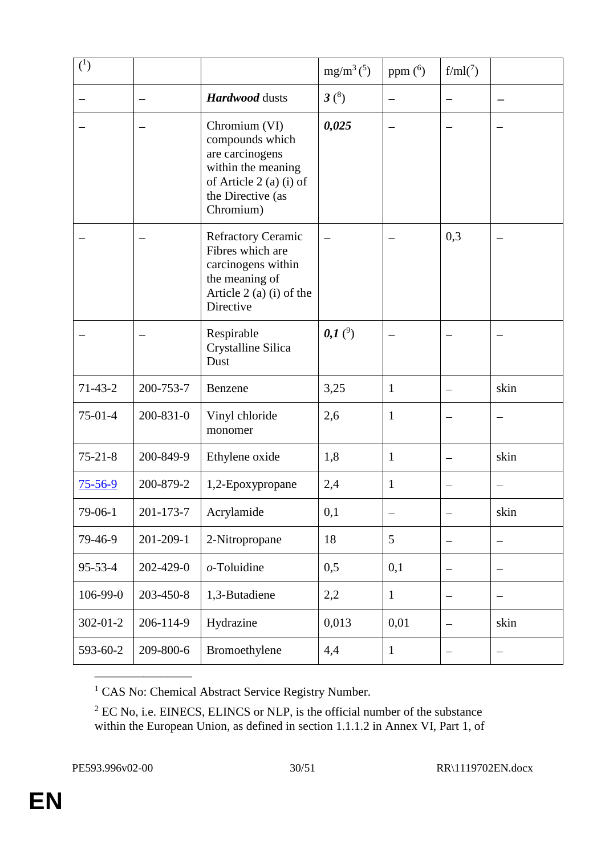| $(^{1})$      |                 |                                                                                                                                        | $mg/m^3$ ( <sup>5</sup> ) | ppm $6$                  | $f/ml(^7)$        |                          |
|---------------|-----------------|----------------------------------------------------------------------------------------------------------------------------------------|---------------------------|--------------------------|-------------------|--------------------------|
|               |                 | Hardwood dusts                                                                                                                         | 3 <sup>(8)</sup>          | $\overline{\phantom{0}}$ |                   |                          |
|               |                 | Chromium (VI)<br>compounds which<br>are carcinogens<br>within the meaning<br>of Article 2 (a) (i) of<br>the Directive (as<br>Chromium) | 0,025                     |                          |                   |                          |
|               |                 | <b>Refractory Ceramic</b><br>Fibres which are<br>carcinogens within<br>the meaning of<br>Article $2$ (a) (i) of the<br>Directive       |                           |                          | 0,3               |                          |
|               |                 | Respirable<br>Crystalline Silica<br>Dust                                                                                               | $0,1$ $(°)$               |                          |                   |                          |
| $71-43-2$     | 200-753-7       | Benzene                                                                                                                                | 3,25                      | 1                        |                   | skin                     |
| $75-01-4$     | 200-831-0       | Vinyl chloride<br>monomer                                                                                                              | 2,6                       | $\mathbf{1}$             |                   |                          |
| $75 - 21 - 8$ | 200-849-9       | Ethylene oxide                                                                                                                         | 1,8                       | $\mathbf{1}$             |                   | skin                     |
| $75 - 56 - 9$ | 200-879-2       | 1,2-Epoxypropane                                                                                                                       | 2,4                       | 1                        |                   |                          |
| 79-06-1       | $201 - 173 - 7$ | Acrylamide                                                                                                                             | 0,1                       | $\qquad \qquad -$        | $\qquad \qquad -$ | skin                     |
| 79-46-9       | 201-209-1       | 2-Nitropropane                                                                                                                         | 18                        | 5                        |                   |                          |
| $95 - 53 - 4$ | 202-429-0       | $o$ -Toluidine                                                                                                                         | 0,5                       | 0,1                      | $\qquad \qquad -$ | $\overline{\phantom{0}}$ |
| 106-99-0      | 203-450-8       | 1,3-Butadiene                                                                                                                          | 2,2                       | $\mathbf{1}$             | —                 |                          |
| 302-01-2      | 206-114-9       | Hydrazine                                                                                                                              | 0,013                     | 0,01                     | $\qquad \qquad -$ | skin                     |
| 593-60-2      | 209-800-6       | Bromoethylene                                                                                                                          | 4,4                       | $\mathbf{1}$             | —                 |                          |

<sup>1</sup> CAS No: Chemical Abstract Service Registry Number.

 $2$  EC No, i.e. EINECS, ELINCS or NLP, is the official number of the substance within the European Union, as defined in section 1.1.1.2 in Annex VI, Part 1, of

\_\_\_\_\_\_\_\_\_\_\_\_\_\_\_\_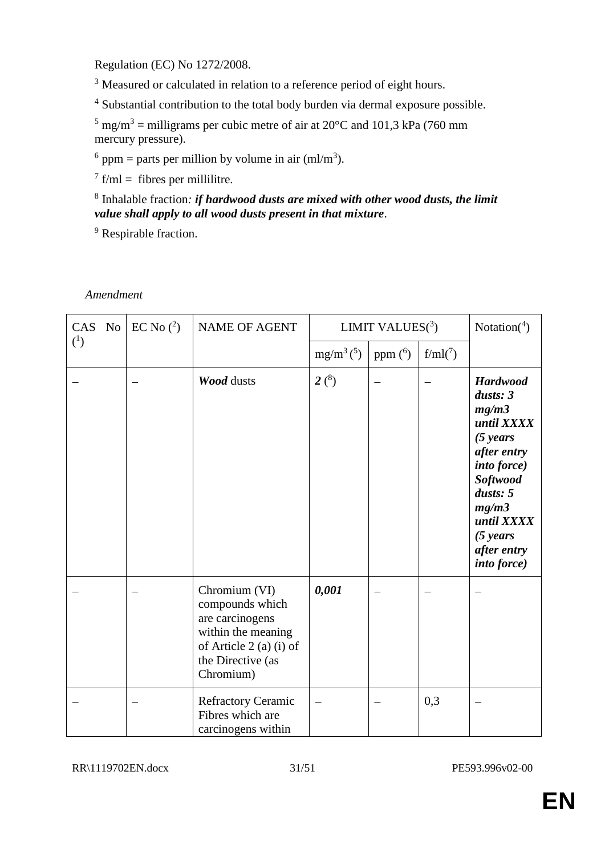Regulation (EC) No 1272/2008.

<sup>3</sup> Measured or calculated in relation to a reference period of eight hours.

<sup>4</sup> Substantial contribution to the total body burden via dermal exposure possible.

 $5 \text{ mg/m}^3$  = milligrams per cubic metre of air at 20 $^{\circ}$ C and 101,3 kPa (760 mm) mercury pressure).

 $^6$  ppm = parts per million by volume in air (ml/m<sup>3</sup>).

 $7$  f/ml = fibres per millilitre.

## 8 Inhalable fraction*: if hardwood dusts are mixed with other wood dusts, the limit value shall apply to all wood dusts present in that mixture*.

<sup>9</sup> Respirable fraction.

| CAS      | No | EC No $(^2)$ | <b>NAME OF AGENT</b>                                                                                                                   |                           | LIMIT VALUES $(^3)$ |            | Notation(4)                                                                                                                                                                                                         |
|----------|----|--------------|----------------------------------------------------------------------------------------------------------------------------------------|---------------------------|---------------------|------------|---------------------------------------------------------------------------------------------------------------------------------------------------------------------------------------------------------------------|
| $(^{1})$ |    |              |                                                                                                                                        | $mg/m^3$ ( <sup>5</sup> ) | ppm $(6)$           | $f/ml(^7)$ |                                                                                                                                                                                                                     |
|          |    |              | Wood dusts                                                                                                                             | $2(^{8})$                 |                     |            | <b>Hardwood</b><br>dusts: 3<br>mg/m3<br>until XXXX<br>$(5 \text{ years})$<br>after entry<br><i>into force</i> )<br>Softwood<br>dusts: 5<br>mg/m3<br>until XXXX<br>$(5 \text{ years})$<br>after entry<br>into force) |
|          |    |              | Chromium (VI)<br>compounds which<br>are carcinogens<br>within the meaning<br>of Article 2 (a) (i) of<br>the Directive (as<br>Chromium) | 0,001                     |                     |            |                                                                                                                                                                                                                     |
|          |    |              | <b>Refractory Ceramic</b><br>Fibres which are<br>carcinogens within                                                                    |                           |                     | 0,3        |                                                                                                                                                                                                                     |

*Amendment*

RR\1119702EN.docx 31/51 PE593.996v02-00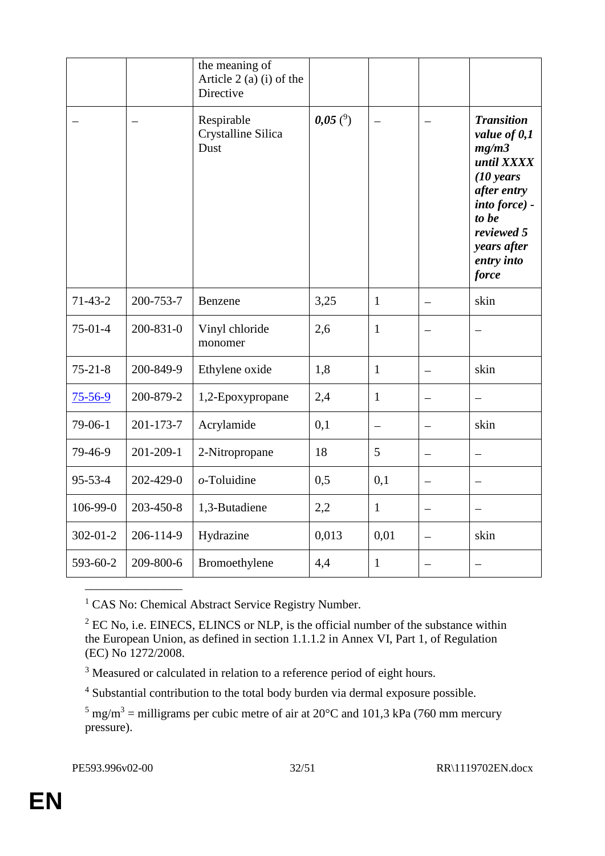|                |                 | the meaning of<br>Article $2$ (a) (i) of the<br>Directive |                   |              |                          |                                                                                                                                                                                 |
|----------------|-----------------|-----------------------------------------------------------|-------------------|--------------|--------------------------|---------------------------------------------------------------------------------------------------------------------------------------------------------------------------------|
|                |                 | Respirable<br>Crystalline Silica<br>Dust                  | $0,05$ ( $^{9}$ ) |              |                          | <b>Transition</b><br>value of $0,1$<br>mg/m3<br>until XXXX<br>$(10 \text{ years})$<br>after entry<br>into force) -<br>to be<br>reviewed 5<br>years after<br>entry into<br>force |
| $71-43-2$      | 200-753-7       | Benzene                                                   | 3,25              | $\mathbf{1}$ |                          | skin                                                                                                                                                                            |
| $75-01-4$      | 200-831-0       | Vinyl chloride<br>monomer                                 | 2,6               | $\mathbf{1}$ |                          |                                                                                                                                                                                 |
| $75 - 21 - 8$  | 200-849-9       | Ethylene oxide                                            | 1,8               | $\mathbf{1}$ | $\overline{\phantom{0}}$ | skin                                                                                                                                                                            |
| $75 - 56 - 9$  | 200-879-2       | 1,2-Epoxypropane                                          | 2,4               | $\mathbf{1}$ | $\overline{\phantom{0}}$ |                                                                                                                                                                                 |
| 79-06-1        | $201 - 173 - 7$ | Acrylamide                                                | 0,1               |              |                          | skin                                                                                                                                                                            |
| 79-46-9        | $201 - 209 - 1$ | 2-Nitropropane                                            | 18                | 5            |                          |                                                                                                                                                                                 |
| $95 - 53 - 4$  | 202-429-0       | $o$ -Toluidine                                            | 0,5               | 0,1          |                          |                                                                                                                                                                                 |
| 106-99-0       | 203-450-8       | 1,3-Butadiene                                             | 2,2               | $\mathbf{1}$ |                          |                                                                                                                                                                                 |
| $302 - 01 - 2$ | 206-114-9       | Hydrazine                                                 | 0,013             | 0,01         | $\equiv$                 | skin                                                                                                                                                                            |
| 593-60-2       | 209-800-6       | Bromoethylene                                             | 4,4               | $\mathbf{1}$ |                          |                                                                                                                                                                                 |

<sup>1</sup> CAS No: Chemical Abstract Service Registry Number.

\_\_\_\_\_\_\_\_\_\_\_\_\_\_\_\_

 $2$  EC No, i.e. EINECS, ELINCS or NLP, is the official number of the substance within the European Union, as defined in section 1.1.1.2 in Annex VI, Part 1, of Regulation (EC) No 1272/2008.

<sup>&</sup>lt;sup>3</sup> Measured or calculated in relation to a reference period of eight hours.

<sup>4</sup> Substantial contribution to the total body burden via dermal exposure possible.

 $5 \text{ mg/m}^3$  = milligrams per cubic metre of air at 20 $^{\circ}$ C and 101,3 kPa (760 mm mercury pressure).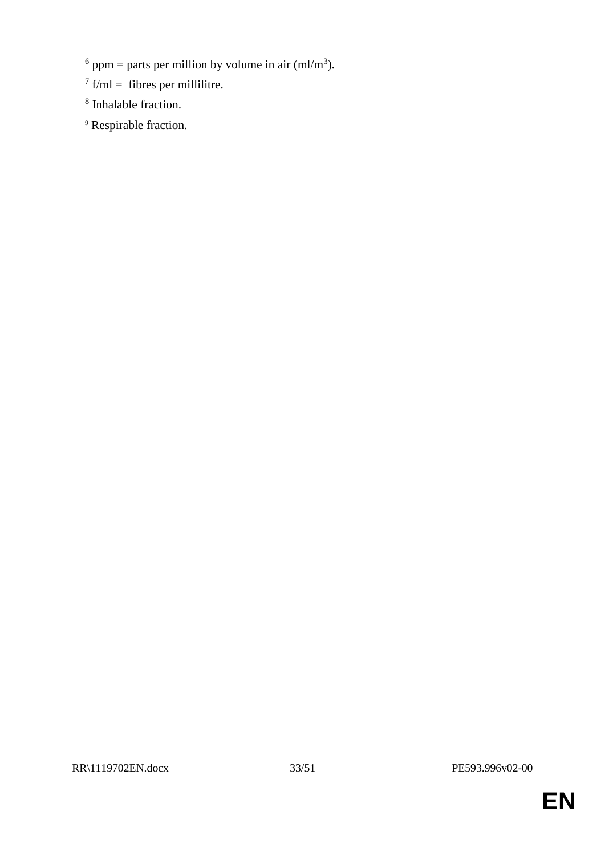- $^6$  ppm = parts per million by volume in air (ml/m<sup>3</sup>).
- $7$  f/ml = fibres per millilitre.
- 8 Inhalable fraction.
- <sup>9</sup> Respirable fraction.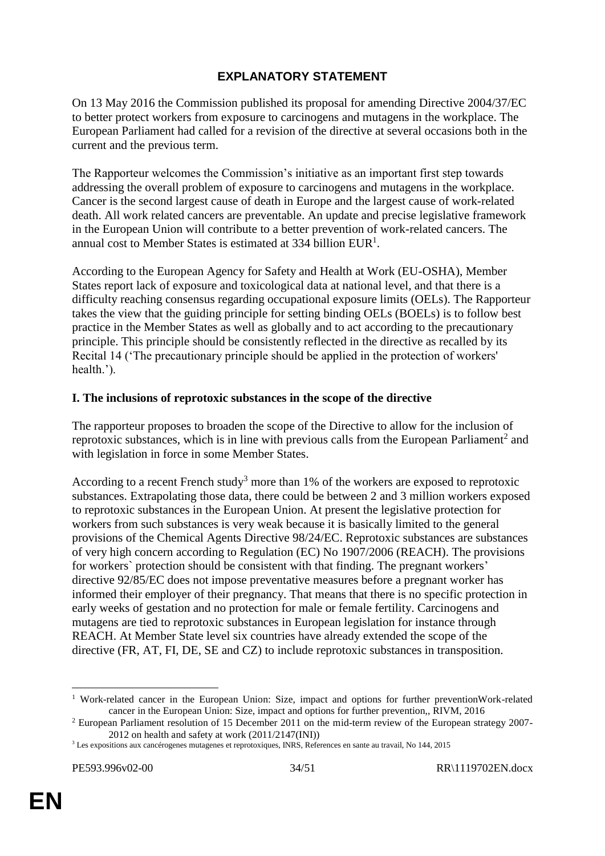# **EXPLANATORY STATEMENT**

On 13 May 2016 the Commission published its proposal for amending Directive 2004/37/EC to better protect workers from exposure to carcinogens and mutagens in the workplace. The European Parliament had called for a revision of the directive at several occasions both in the current and the previous term.

The Rapporteur welcomes the Commission's initiative as an important first step towards addressing the overall problem of exposure to carcinogens and mutagens in the workplace. Cancer is the second largest cause of death in Europe and the largest cause of work-related death. All work related cancers are preventable. An update and precise legislative framework in the European Union will contribute to a better prevention of work-related cancers. The annual cost to Member States is estimated at 334 billion  $EUR<sup>1</sup>$ .

According to the European Agency for Safety and Health at Work (EU-OSHA), Member States report lack of exposure and toxicological data at national level, and that there is a difficulty reaching consensus regarding occupational exposure limits (OELs). The Rapporteur takes the view that the guiding principle for setting binding OELs (BOELs) is to follow best practice in the Member States as well as globally and to act according to the precautionary principle. This principle should be consistently reflected in the directive as recalled by its Recital 14 ('The precautionary principle should be applied in the protection of workers' health.').

## **I. The inclusions of reprotoxic substances in the scope of the directive**

The rapporteur proposes to broaden the scope of the Directive to allow for the inclusion of reprotoxic substances, which is in line with previous calls from the European Parliament<sup>2</sup> and with legislation in force in some Member States.

According to a recent French study<sup>3</sup> more than 1% of the workers are exposed to reprotoxic substances. Extrapolating those data, there could be between 2 and 3 million workers exposed to reprotoxic substances in the European Union. At present the legislative protection for workers from such substances is very weak because it is basically limited to the general provisions of the Chemical Agents Directive 98/24/EC. Reprotoxic substances are substances of very high concern according to Regulation (EC) No 1907/2006 (REACH). The provisions for workers` protection should be consistent with that finding. The pregnant workers' directive 92/85/EC does not impose preventative measures before a pregnant worker has informed their employer of their pregnancy. That means that there is no specific protection in early weeks of gestation and no protection for male or female fertility. Carcinogens and mutagens are tied to reprotoxic substances in European legislation for instance through REACH. At Member State level six countries have already extended the scope of the directive (FR, AT, FI, DE, SE and CZ) to include reprotoxic substances in transposition.

 $\overline{a}$ 

<sup>1</sup> Work-related cancer in the European Union: Size, impact and options for further preventionWork-related cancer in the European Union: Size, impact and options for further prevention,, RIVM, 2016

<sup>&</sup>lt;sup>2</sup> European Parliament resolution of 15 December 2011 on the mid-term review of the European strategy 2007-2012 on health and safety at work (2011/2147(INI))

<sup>3</sup> Les expositions aux cancérogenes mutagenes et reprotoxiques, INRS, References en sante au travail, No 144, 2015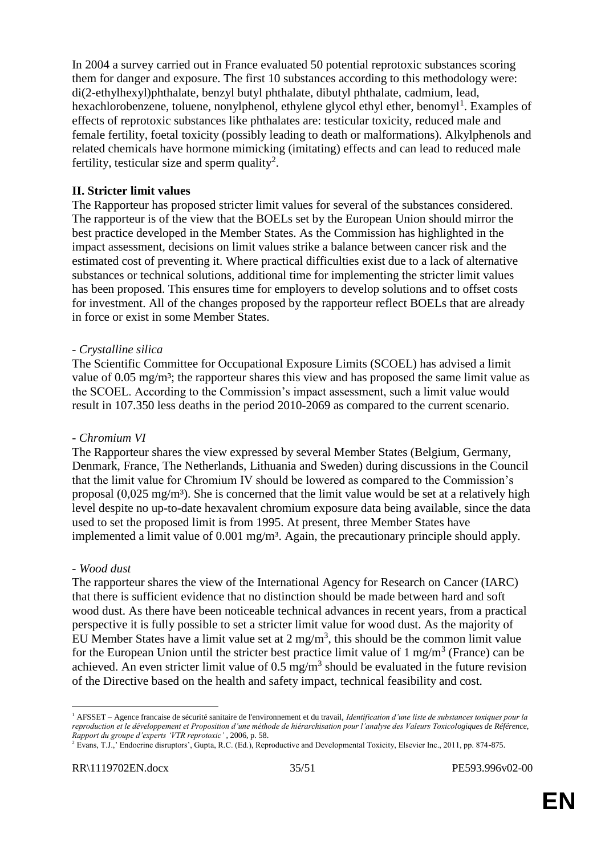In 2004 a survey carried out in France evaluated 50 potential reprotoxic substances scoring them for danger and exposure. The first 10 substances according to this methodology were: di(2-ethylhexyl)phthalate, benzyl butyl phthalate, dibutyl phthalate, cadmium, lead, hexachlorobenzene, toluene, nonylphenol, ethylene glycol ethyl ether, benomyl<sup>1</sup>. Examples of effects of reprotoxic substances like phthalates are: testicular toxicity, reduced male and female fertility, foetal toxicity (possibly leading to death or malformations). Alkylphenols and related chemicals have hormone mimicking (imitating) effects and can lead to reduced male fertility, testicular size and sperm quality<sup>2</sup>.

## **II. Stricter limit values**

The Rapporteur has proposed stricter limit values for several of the substances considered. The rapporteur is of the view that the BOELs set by the European Union should mirror the best practice developed in the Member States. As the Commission has highlighted in the impact assessment, decisions on limit values strike a balance between cancer risk and the estimated cost of preventing it. Where practical difficulties exist due to a lack of alternative substances or technical solutions, additional time for implementing the stricter limit values has been proposed. This ensures time for employers to develop solutions and to offset costs for investment. All of the changes proposed by the rapporteur reflect BOELs that are already in force or exist in some Member States.

### *- Crystalline silica*

The Scientific Committee for Occupational Exposure Limits (SCOEL) has advised a limit value of 0.05 mg/m<sup>3</sup>; the rapporteur shares this view and has proposed the same limit value as the SCOEL. According to the Commission's impact assessment, such a limit value would result in 107.350 less deaths in the period 2010-2069 as compared to the current scenario.

### *- Chromium VI*

The Rapporteur shares the view expressed by several Member States (Belgium, Germany, Denmark, France, The Netherlands, Lithuania and Sweden) during discussions in the Council that the limit value for Chromium IV should be lowered as compared to the Commission's proposal  $(0.025 \text{ mg/m}^3)$ . She is concerned that the limit value would be set at a relatively high level despite no up-to-date hexavalent chromium exposure data being available, since the data used to set the proposed limit is from 1995. At present, three Member States have implemented a limit value of 0.001 mg/m<sup>3</sup>. Again, the precautionary principle should apply.

### *- Wood dust*

 $\overline{a}$ 

The rapporteur shares the view of the International Agency for Research on Cancer (IARC) that there is sufficient evidence that no distinction should be made between hard and soft wood dust. As there have been noticeable technical advances in recent years, from a practical perspective it is fully possible to set a stricter limit value for wood dust. As the majority of EU Member States have a limit value set at  $2 \text{ mg/m}^3$ , this should be the common limit value for the European Union until the stricter best practice limit value of  $1 \text{ mg/m}^3$  (France) can be achieved. An even stricter limit value of  $0.5 \text{ mg/m}^3$  should be evaluated in the future revision of the Directive based on the health and safety impact, technical feasibility and cost.

<sup>1</sup> AFSSET – Agence francaise de sécurité sanitaire de l'environnement et du travail, *Identification d'une liste de substances toxiques pour la reproduction et le développement et Proposition d'une méthode de hiérarchisation pour l'analyse des Valeurs Toxicologiques de Référence, Rapport du groupe d'experts 'VTR reprotoxic'* , 2006, p. 58.

<sup>2</sup> Evans, T.J.,' Endocrine disruptors', Gupta, R.C. (Ed.), Reproductive and Developmental Toxicity, Elsevier Inc., 2011, pp. 874-875.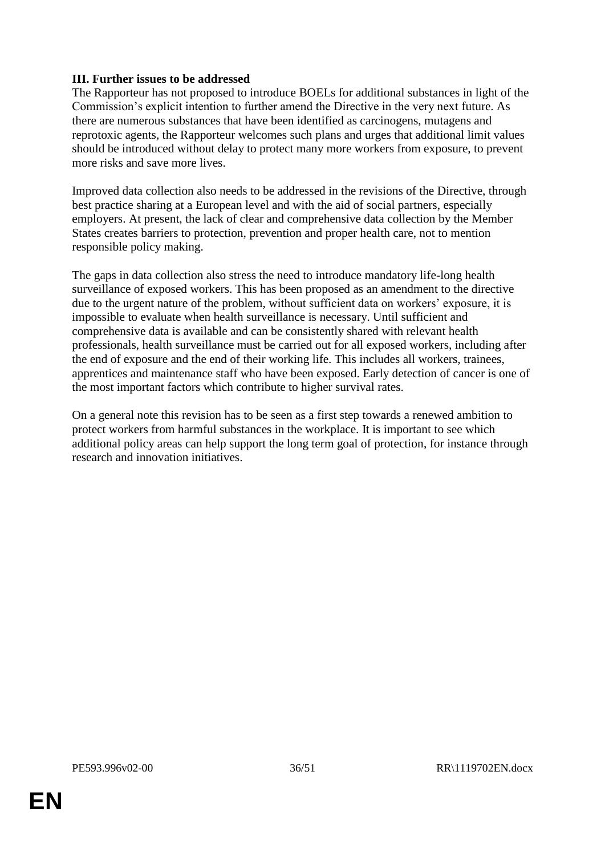## **III. Further issues to be addressed**

The Rapporteur has not proposed to introduce BOELs for additional substances in light of the Commission's explicit intention to further amend the Directive in the very next future. As there are numerous substances that have been identified as carcinogens, mutagens and reprotoxic agents, the Rapporteur welcomes such plans and urges that additional limit values should be introduced without delay to protect many more workers from exposure, to prevent more risks and save more lives.

Improved data collection also needs to be addressed in the revisions of the Directive, through best practice sharing at a European level and with the aid of social partners, especially employers. At present, the lack of clear and comprehensive data collection by the Member States creates barriers to protection, prevention and proper health care, not to mention responsible policy making.

The gaps in data collection also stress the need to introduce mandatory life-long health surveillance of exposed workers. This has been proposed as an amendment to the directive due to the urgent nature of the problem, without sufficient data on workers' exposure, it is impossible to evaluate when health surveillance is necessary. Until sufficient and comprehensive data is available and can be consistently shared with relevant health professionals, health surveillance must be carried out for all exposed workers, including after the end of exposure and the end of their working life. This includes all workers, trainees, apprentices and maintenance staff who have been exposed. Early detection of cancer is one of the most important factors which contribute to higher survival rates.

On a general note this revision has to be seen as a first step towards a renewed ambition to protect workers from harmful substances in the workplace. It is important to see which additional policy areas can help support the long term goal of protection, for instance through research and innovation initiatives.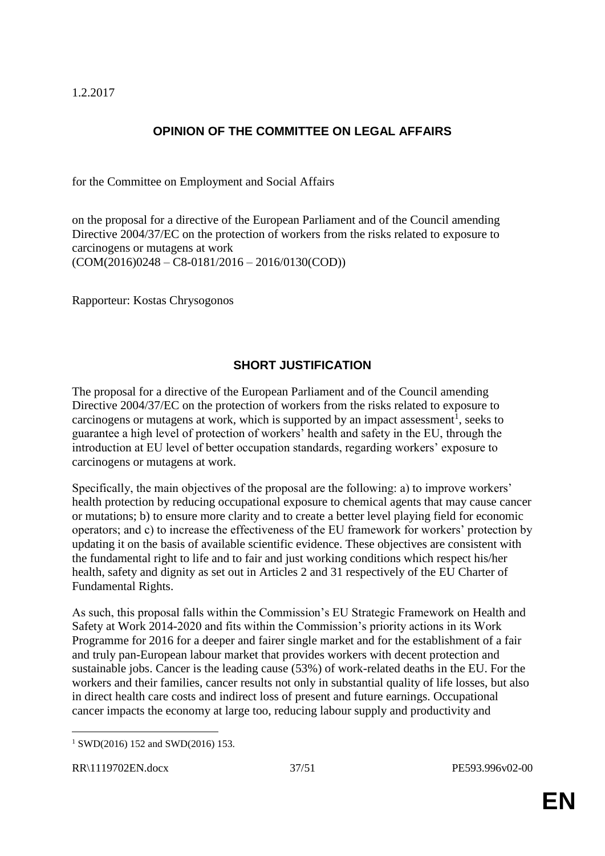## 1.2.2017

# **OPINION OF THE COMMITTEE ON LEGAL AFFAIRS**

for the Committee on Employment and Social Affairs

on the proposal for a directive of the European Parliament and of the Council amending Directive 2004/37/EC on the protection of workers from the risks related to exposure to carcinogens or mutagens at work  $(COM(2016)0248 - C8 - 0181/2016 - 2016/0130(COD))$ 

Rapporteur: Kostas Chrysogonos

## **SHORT JUSTIFICATION**

The proposal for a directive of the European Parliament and of the Council amending Directive 2004/37/EC on the protection of workers from the risks related to exposure to carcinogens or mutagens at work, which is supported by an impact assessment<sup>1</sup>, seeks to guarantee a high level of protection of workers' health and safety in the EU, through the introduction at EU level of better occupation standards, regarding workers' exposure to carcinogens or mutagens at work.

Specifically, the main objectives of the proposal are the following: a) to improve workers' health protection by reducing occupational exposure to chemical agents that may cause cancer or mutations; b) to ensure more clarity and to create a better level playing field for economic operators; and c) to increase the effectiveness of the EU framework for workers' protection by updating it on the basis of available scientific evidence. These objectives are consistent with the fundamental right to life and to fair and just working conditions which respect his/her health, safety and dignity as set out in Articles 2 and 31 respectively of the EU Charter of Fundamental Rights.

As such, this proposal falls within the Commission's EU Strategic Framework on Health and Safety at Work 2014-2020 and fits within the Commission's priority actions in its Work Programme for 2016 for a deeper and fairer single market and for the establishment of a fair and truly pan-European labour market that provides workers with decent protection and sustainable jobs. Cancer is the leading cause (53%) of work-related deaths in the EU. For the workers and their families, cancer results not only in substantial quality of life losses, but also in direct health care costs and indirect loss of present and future earnings. Occupational cancer impacts the economy at large too, reducing labour supply and productivity and

 $\overline{a}$ <sup>1</sup> SWD(2016) 152 and SWD(2016) 153.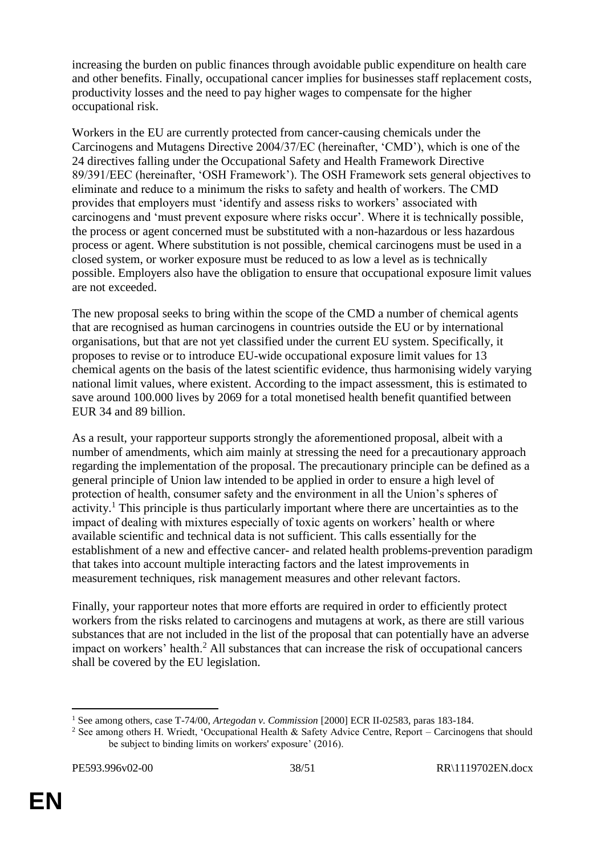increasing the burden on public finances through avoidable public expenditure on health care and other benefits. Finally, occupational cancer implies for businesses staff replacement costs, productivity losses and the need to pay higher wages to compensate for the higher occupational risk.

Workers in the EU are currently protected from cancer-causing chemicals under the Carcinogens and Mutagens Directive 2004/37/EC (hereinafter, 'CMD'), which is one of the 24 directives falling under the Occupational Safety and Health Framework Directive 89/391/EEC (hereinafter, 'OSH Framework'). The OSH Framework sets general objectives to eliminate and reduce to a minimum the risks to safety and health οf workers. The CMD provides that employers must 'identify and assess risks to workers' associated with carcinogens and 'must prevent exposure where risks occur'. Where it is technically possible, the process or agent concerned must be substituted with a non-hazardous or less hazardous process or agent. Where substitution is not possible, chemical carcinogens must be used in a closed system, or worker exposure must be reduced to as low a level as is technically possible. Employers also have the obligation to ensure that occupational exposure limit values are not exceeded.

The new proposal seeks to bring within the scope of the CMD a number of chemical agents that are recognised as human carcinogens in countries outside the EU or by international organisations, but that are not yet classified under the current EU system. Specifically, it proposes to revise or to introduce EU-wide occupational exposure limit values for 13 chemical agents on the basis of the latest scientific evidence, thus harmonising widely varying national limit values, where existent. According to the impact assessment, this is estimated to save around 100.000 lives by 2069 for a total monetised health benefit quantified between EUR 34 and 89 billion.

As a result, your rapporteur supports strongly the aforementioned proposal, albeit with a number of amendments, which aim mainly at stressing the need for a precautionary approach regarding the implementation of the proposal. The precautionary principle can be defined as a general principle of Union law intended to be applied in order to ensure a high level of protection of health, consumer safety and the environment in all the Union's spheres of  $\alpha$  activity.<sup>1</sup> This principle is thus particularly important where there are uncertainties as to the impact of dealing with mixtures especially of toxic agents on workers' health or where available scientific and technical data is not sufficient. This calls essentially for the establishment of a new and effective cancer- and related health problems-prevention paradigm that takes into account multiple interacting factors and the latest improvements in measurement techniques, risk management measures and other relevant factors.

Finally, your rapporteur notes that more efforts are required in order to efficiently protect workers from the risks related to carcinogens and mutagens at work, as there are still various substances that are not included in the list of the proposal that can potentially have an adverse impact on workers' health.<sup>2</sup> All substances that can increase the risk of occupational cancers shall be covered by the EU legislation.

 $\overline{a}$ 

<sup>1</sup> See among others, case T-74/00, *Artegodan v. Commission* [2000] ECR II-02583, paras 183-184.

<sup>&</sup>lt;sup>2</sup> See among others H. Wriedt, 'Occupational Health & Safety Advice Centre, Report – Carcinogens that should be subject to binding limits on workers' exposure' (2016).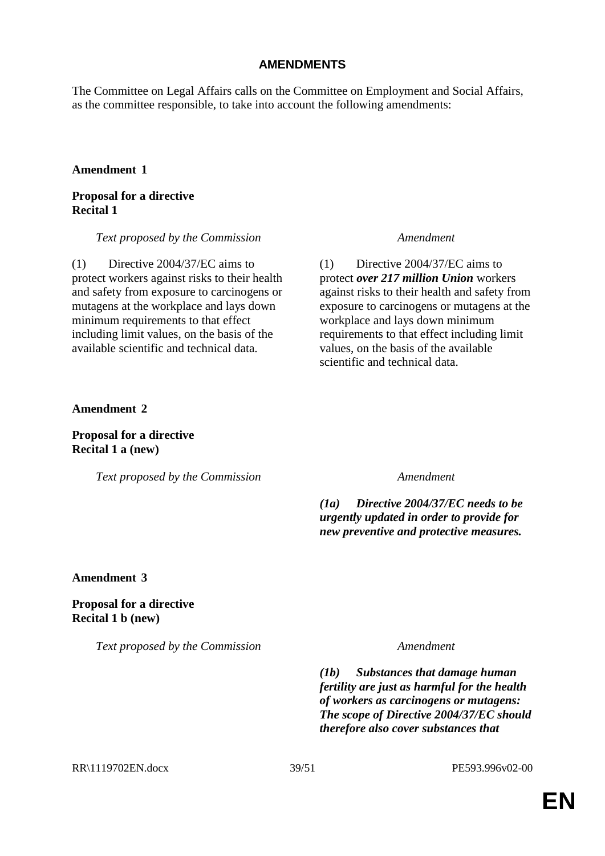## **AMENDMENTS**

The Committee on Legal Affairs calls on the Committee on Employment and Social Affairs, as the committee responsible, to take into account the following amendments:

## **Amendment 1**

**Proposal for a directive Recital 1**

*Text proposed by the Commission Amendment*

(1) Directive 2004/37/EC aims to protect workers against risks to their health and safety from exposure to carcinogens or mutagens at the workplace and lays down minimum requirements to that effect including limit values, on the basis of the available scientific and technical data.

(1) Directive 2004/37/EC aims to protect *over 217 million Union* workers against risks to their health and safety from exposure to carcinogens or mutagens at the workplace and lays down minimum requirements to that effect including limit values, on the basis of the available scientific and technical data.

## **Amendment 2**

**Proposal for a directive Recital 1 a (new)**

*Text proposed by the Commission Amendment*

*(1a) Directive 2004/37/EC needs to be urgently updated in order to provide for new preventive and protective measures.*

**Amendment 3**

**Proposal for a directive Recital 1 b (new)**

*Text proposed by the Commission Amendment*

*(1b) Substances that damage human fertility are just as harmful for the health of workers as carcinogens or mutagens: The scope of Directive 2004/37/EC should therefore also cover substances that*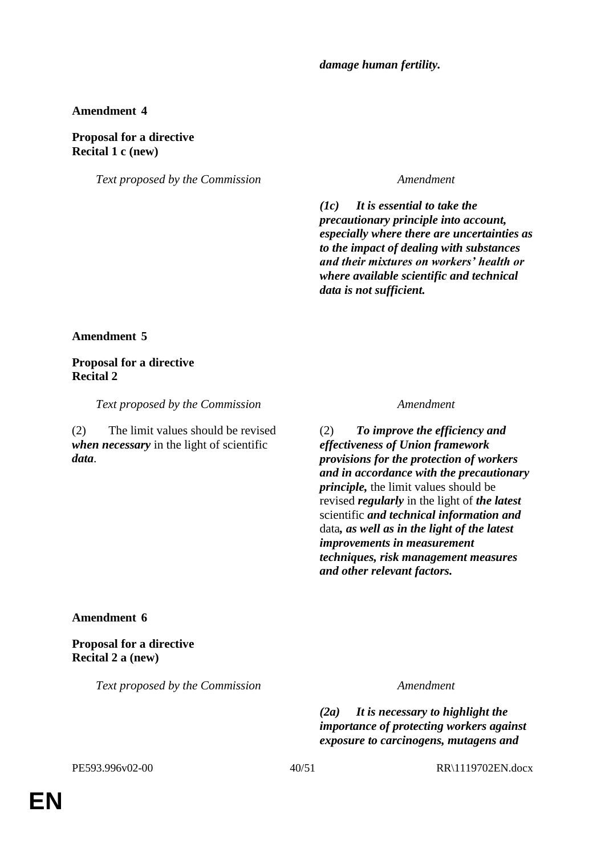### **Amendment 4**

### **Proposal for a directive Recital 1 c (new)**

*Text proposed by the Commission Amendment*

*(1c) It is essential to take the precautionary principle into account, especially where there are uncertainties as to the impact of dealing with substances and their mixtures on workers' health or where available scientific and technical data is not sufficient.*

**Amendment 5**

### **Proposal for a directive Recital 2**

*Text proposed by the Commission Amendment*

(2) The limit values should be revised *when necessary* in the light of scientific *data*.

(2) *To improve the efficiency and effectiveness of Union framework provisions for the protection of workers and in accordance with the precautionary principle,* the limit values should be revised *regularly* in the light of *the latest*  scientific *and technical information and*  data*, as well as in the light of the latest improvements in measurement techniques, risk management measures and other relevant factors.*

**Amendment 6**

**Proposal for a directive Recital 2 a (new)**

*Text proposed by the Commission Amendment*

*(2a) It is necessary to highlight the importance of protecting workers against exposure to carcinogens, mutagens and* 

PE593.996v02-00 40/51 RR\1119702EN.docx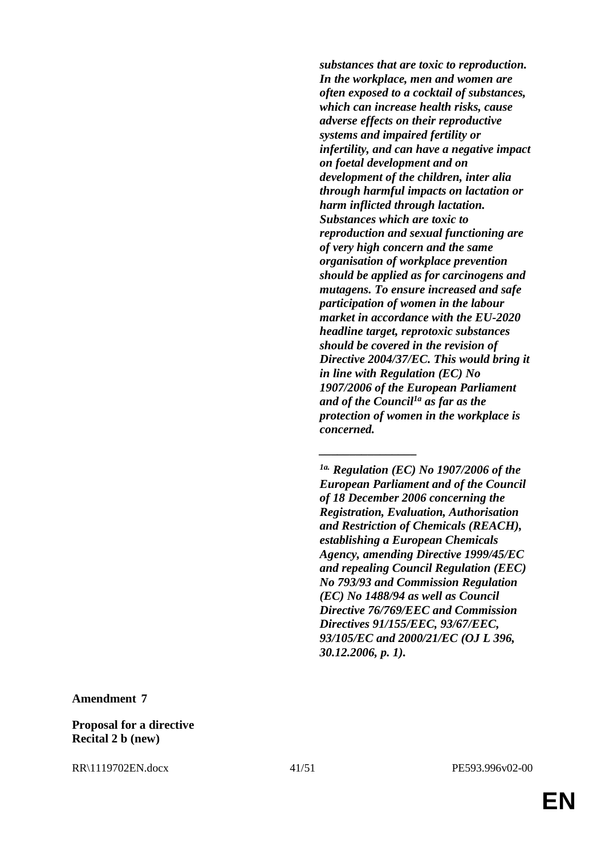*substances that are toxic to reproduction. In the workplace, men and women are often exposed to a cocktail of substances, which can increase health risks, cause adverse effects on their reproductive systems and impaired fertility or infertility, and can have a negative impact on foetal development and on development of the children, inter alia through harmful impacts on lactation or harm inflicted through lactation. Substances which are toxic to reproduction and sexual functioning are of very high concern and the same organisation of workplace prevention should be applied as for carcinogens and mutagens. To ensure increased and safe participation of women in the labour market in accordance with the EU-2020 headline target, reprotoxic substances should be covered in the revision of Directive 2004/37/EC. This would bring it in line with Regulation (EC) No 1907/2006 of the European Parliament and of the Council1a as far as the protection of women in the workplace is concerned.*

*1a. Regulation (EC) No 1907/2006 of the European Parliament and of the Council of 18 December 2006 concerning the Registration, Evaluation, Authorisation and Restriction of Chemicals (REACH), establishing a European Chemicals Agency, amending Directive 1999/45/EC and repealing Council Regulation (EEC) No 793/93 and Commission Regulation (EC) No 1488/94 as well as Council Directive 76/769/EEC and Commission Directives 91/155/EEC, 93/67/EEC, 93/105/EC and 2000/21/EC (OJ L 396, 30.12.2006, p. 1).*

*\_\_\_\_\_\_\_\_\_\_\_\_\_\_\_\_*

**Amendment 7**

**Proposal for a directive Recital 2 b (new)**

RR\1119702EN.docx 41/51 PE593.996v02-00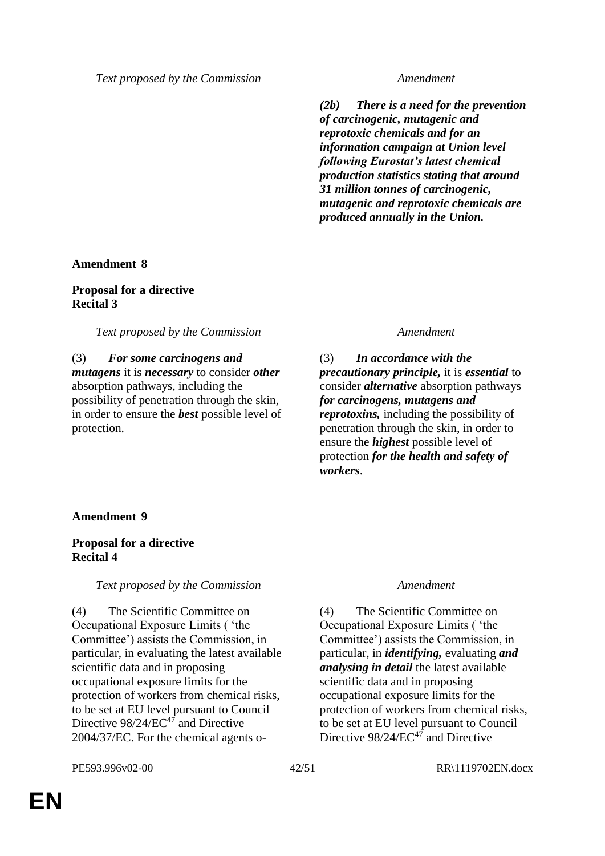*Text proposed by the Commission Amendment*

*(2b) There is a need for the prevention of carcinogenic, mutagenic and reprotoxic chemicals and for an information campaign at Union level following Eurostat's latest chemical production statistics stating that around 31 million tonnes of carcinogenic, mutagenic and reprotoxic chemicals are produced annually in the Union.*

## **Amendment 8**

## **Proposal for a directive Recital 3**

## *Text proposed by the Commission Amendment*

## (3) *For some carcinogens and*

*mutagens* it is *necessary* to consider *other* absorption pathways, including the possibility of penetration through the skin, in order to ensure the *best* possible level of protection.

(3) *In accordance with the precautionary principle,* it is *essential* to consider *alternative* absorption pathways *for carcinogens, mutagens and reprotoxins,* including the possibility of penetration through the skin, in order to ensure the *highest* possible level of protection *for the health and safety of workers*.

### **Amendment 9**

## **Proposal for a directive Recital 4**

### *Text proposed by the Commission Amendment*

(4) The Scientific Committee on Occupational Exposure Limits ( 'the Committee') assists the Commission, in particular, in evaluating the latest available scientific data and in proposing occupational exposure limits for the protection of workers from chemical risks, to be set at EU level pursuant to Council Directive  $98/24/EC^{47}$  and Directive 2004/37/EC. For the chemical agents o-

(4) The Scientific Committee on Occupational Exposure Limits ( 'the Committee') assists the Commission, in particular, in *identifying,* evaluating *and analysing in detail* the latest available scientific data and in proposing occupational exposure limits for the protection of workers from chemical risks, to be set at EU level pursuant to Council Directive  $98/24/EC^{47}$  and Directive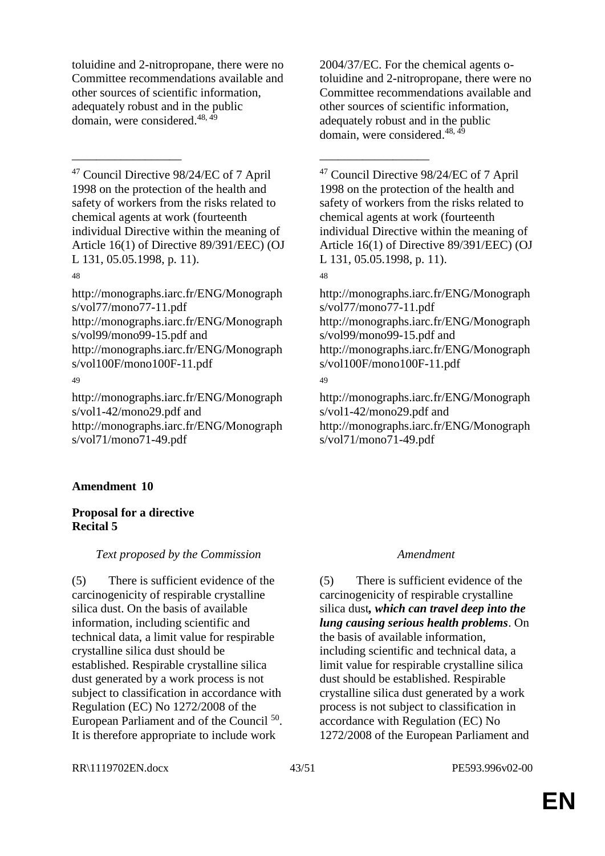toluidine and 2-nitropropane, there were no Committee recommendations available and other sources of scientific information, adequately robust and in the public domain, were considered. $48, 49$ 

\_\_\_\_\_\_\_\_\_\_\_\_\_\_\_\_\_\_ \_\_\_\_\_\_\_\_\_\_\_\_\_\_\_\_\_\_

<sup>47</sup> Council Directive 98/24/EC of 7 April 1998 on the protection of the health and safety of workers from the risks related to chemical agents at work (fourteenth individual Directive within the meaning of Article 16(1) of Directive 89/391/EEC) (OJ L 131, 05.05.1998, p. 11).

#### 48

http://monographs.iarc.fr/ENG/Monograph s/vol77/mono77-11.pdf http://monographs.iarc.fr/ENG/Monograph s/vol99/mono99-15.pdf and http://monographs.iarc.fr/ENG/Monograph s/vol100F/mono100F-11.pdf 49

http://monographs.iarc.fr/ENG/Monograph s/vol1-42/mono29.pdf and http://monographs.iarc.fr/ENG/Monograph s/vol71/mono71-49.pdf

2004/37/EC. For the chemical agents otoluidine and 2-nitropropane, there were no Committee recommendations available and other sources of scientific information, adequately robust and in the public domain, were considered.<sup>48, 49</sup>

<sup>47</sup> Council Directive 98/24/EC of 7 April 1998 on the protection of the health and safety of workers from the risks related to chemical agents at work (fourteenth individual Directive within the meaning of Article 16(1) of Directive 89/391/EEC) (OJ L 131, 05.05.1998, p. 11).

48

http://monographs.iarc.fr/ENG/Monograph s/vol77/mono77-11.pdf http://monographs.iarc.fr/ENG/Monograph s/vol99/mono99-15.pdf and http://monographs.iarc.fr/ENG/Monograph s/vol100F/mono100F-11.pdf

49

http://monographs.iarc.fr/ENG/Monograph s/vol1-42/mono29.pdf and http://monographs.iarc.fr/ENG/Monograph s/vol71/mono71-49.pdf

## **Amendment 10**

### **Proposal for a directive Recital 5**

### *Text proposed by the Commission Amendment*

(5) There is sufficient evidence of the carcinogenicity of respirable crystalline silica dust. On the basis of available information, including scientific and technical data, a limit value for respirable crystalline silica dust should be established. Respirable crystalline silica dust generated by a work process is not subject to classification in accordance with Regulation (EC) No 1272/2008 of the European Parliament and of the Council<sup>50</sup>. It is therefore appropriate to include work

(5) There is sufficient evidence of the carcinogenicity of respirable crystalline silica dust*, which can travel deep into the lung causing serious health problems*. On the basis of available information, including scientific and technical data, a limit value for respirable crystalline silica dust should be established. Respirable crystalline silica dust generated by a work process is not subject to classification in accordance with Regulation (EC) No 1272/2008 of the European Parliament and

RR\1119702EN.docx 43/51 PE593.996v02-00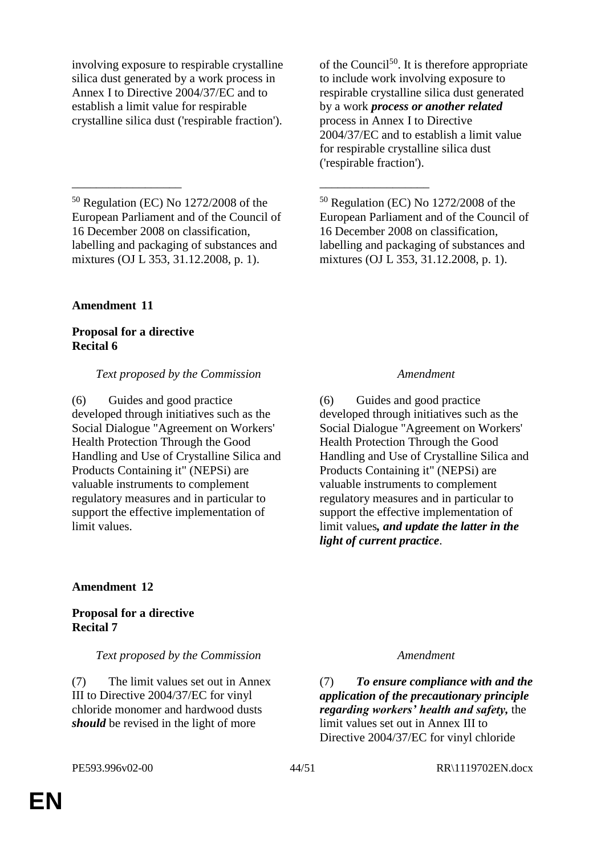involving exposure to respirable crystalline silica dust generated by a work process in Annex I to Directive 2004/37/EC and to establish a limit value for respirable crystalline silica dust ('respirable fraction').

 $50$  Regulation (EC) No 1272/2008 of the European Parliament and of the Council of 16 December 2008 on classification, labelling and packaging of substances and mixtures (OJ L 353, 31.12.2008, p. 1).

\_\_\_\_\_\_\_\_\_\_\_\_\_\_\_\_\_\_ \_\_\_\_\_\_\_\_\_\_\_\_\_\_\_\_\_\_

### **Amendment 11**

## **Proposal for a directive Recital 6**

### *Text proposed by the Commission Amendment*

(6) Guides and good practice developed through initiatives such as the Social Dialogue "Agreement on Workers' Health Protection Through the Good Handling and Use of Crystalline Silica and Products Containing it" (NEPSi) are valuable instruments to complement regulatory measures and in particular to support the effective implementation of limit values.

of the Council<sup>50</sup>. It is therefore appropriate to include work involving exposure to respirable crystalline silica dust generated by a work *process or another related* process in Annex I to Directive 2004/37/EC and to establish a limit value for respirable crystalline silica dust ('respirable fraction').

 $50$  Regulation (EC) No 1272/2008 of the European Parliament and of the Council of 16 December 2008 on classification, labelling and packaging of substances and mixtures (OJ L 353, 31.12.2008, p. 1).

(6) Guides and good practice developed through initiatives such as the Social Dialogue "Agreement on Workers' Health Protection Through the Good Handling and Use of Crystalline Silica and Products Containing it" (NEPSi) are valuable instruments to complement regulatory measures and in particular to support the effective implementation of limit values*, and update the latter in the light of current practice*.

### **Amendment 12**

### **Proposal for a directive Recital 7**

### *Text proposed by the Commission Amendment*

(7) The limit values set out in Annex III to Directive 2004/37/EC for vinyl chloride monomer and hardwood dusts *should* be revised in the light of more

(7) *To ensure compliance with and the application of the precautionary principle regarding workers' health and safety,* the limit values set out in Annex III to Directive 2004/37/EC for vinyl chloride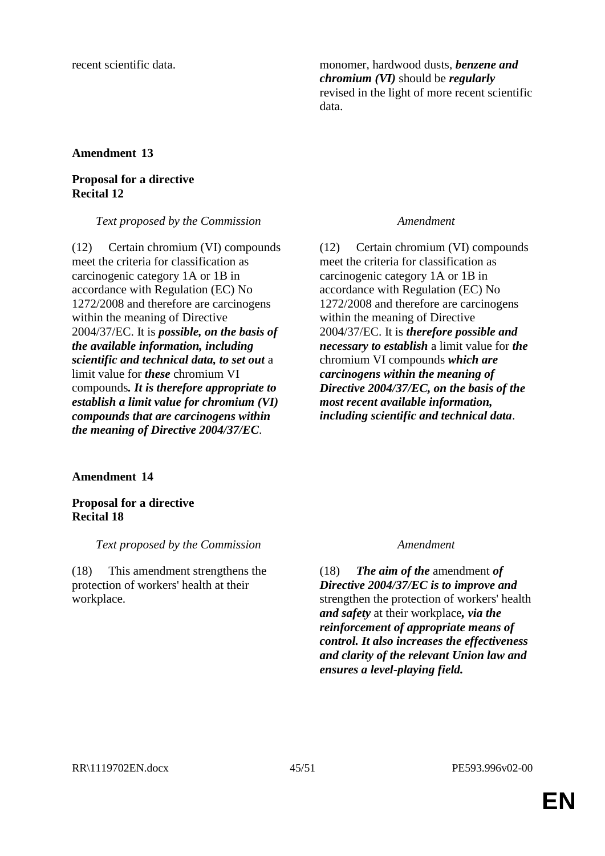recent scientific data. monomer, hardwood dusts, *benzene and chromium (VI)* should be *regularly* revised in the light of more recent scientific data.

## **Amendment 13**

## **Proposal for a directive Recital 12**

*Text proposed by the Commission Amendment*

(12) Certain chromium (VI) compounds meet the criteria for classification as carcinogenic category 1A or 1B in accordance with Regulation (EC) No 1272/2008 and therefore are carcinogens within the meaning of Directive 2004/37/EC. It is *possible, on the basis of the available information, including scientific and technical data, to set out* a limit value for *these* chromium VI compounds*. It is therefore appropriate to establish a limit value for chromium (VI) compounds that are carcinogens within the meaning of Directive 2004/37/EC*.

## **Amendment 14**

## **Proposal for a directive Recital 18**

## *Text proposed by the Commission Amendment*

(18) This amendment strengthens the protection of workers' health at their workplace.

(12) Certain chromium (VI) compounds meet the criteria for classification as carcinogenic category 1A or 1B in accordance with Regulation (EC) No 1272/2008 and therefore are carcinogens within the meaning of Directive 2004/37/EC. It is *therefore possible and necessary to establish* a limit value for *the* chromium VI compounds *which are carcinogens within the meaning of Directive 2004/37/EC, on the basis of the most recent available information, including scientific and technical data*.

(18) *The aim of the* amendment *of Directive 2004/37/EC is to improve and* strengthen the protection of workers' health *and safety* at their workplace*, via the reinforcement of appropriate means of control. It also increases the effectiveness and clarity of the relevant Union law and ensures a level-playing field.*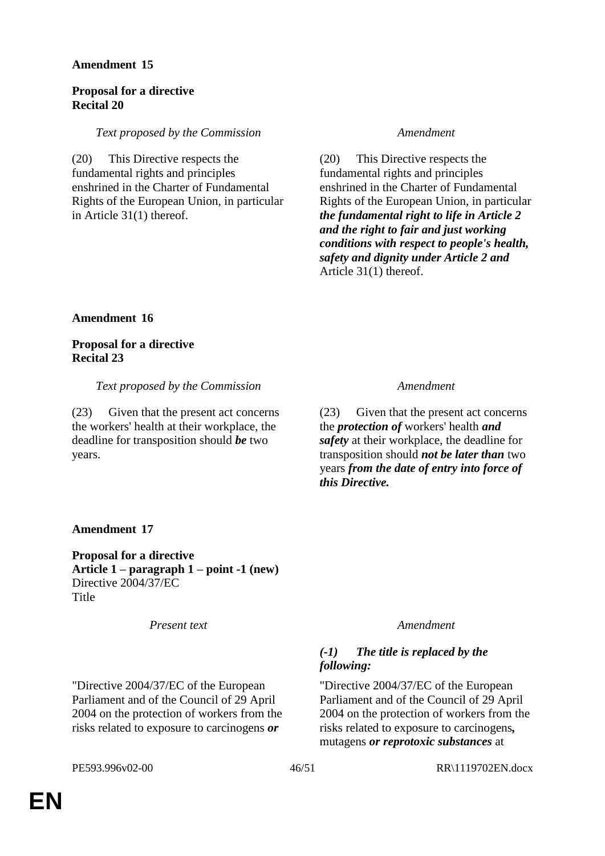## **Amendment 15**

### **Proposal for a directive Recital 20**

### *Text proposed by the Commission Amendment*

(20) This Directive respects the fundamental rights and principles enshrined in the Charter of Fundamental Rights of the European Union, in particular in Article 31(1) thereof.

(20) This Directive respects the fundamental rights and principles enshrined in the Charter of Fundamental Rights of the European Union, in particular *the fundamental right to life in Article 2 and the right to fair and just working conditions with respect to people's health, safety and dignity under Article 2 and* Article 31(1) thereof.

### **Amendment 16**

## **Proposal for a directive Recital 23**

*Text proposed by the Commission Amendment*

(23) Given that the present act concerns the workers' health at their workplace, the deadline for transposition should *be* two years.

(23) Given that the present act concerns the *protection of* workers' health *and safety* at their workplace, the deadline for transposition should *not be later than* two years *from the date of entry into force of this Directive.*

#### **Amendment 17**

**Proposal for a directive Article 1 – paragraph 1 – point -1 (new)** Directive 2004/37/EC Title

*Present text Amendment*

## *(-1) The title is replaced by the following:*

"Directive 2004/37/EC of the European Parliament and of the Council of 29 April 2004 on the protection of workers from the risks related to exposure to carcinogens*,* mutagens *or reprotoxic substances* at

"Directive 2004/37/EC of the European Parliament and of the Council of 29 April 2004 on the protection of workers from the risks related to exposure to carcinogens *or* 

### PE593.996v02-00 46/51 RR\1119702EN.docx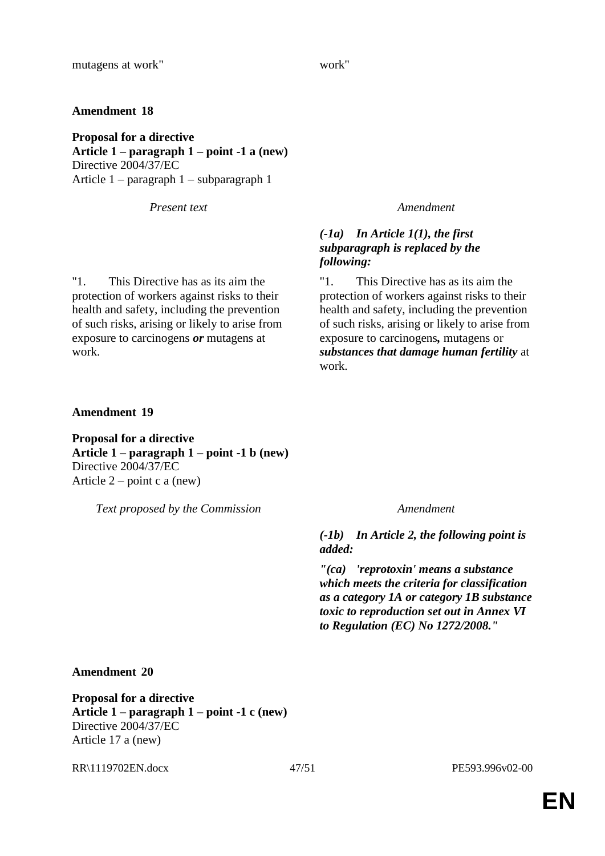## **Amendment 18**

**Proposal for a directive Article 1 – paragraph 1 – point -1 a (new)** Directive 2004/37/EC Article 1 – paragraph 1 – subparagraph 1

*Present text Amendment*

"1. This Directive has as its aim the protection of workers against risks to their health and safety, including the prevention of such risks, arising or likely to arise from exposure to carcinogens *or* mutagens at work.

## *(-1a) In Article 1(1), the first subparagraph is replaced by the following:*

"1. This Directive has as its aim the protection of workers against risks to their health and safety, including the prevention of such risks, arising or likely to arise from exposure to carcinogens*,* mutagens or *substances that damage human fertility* at work.

### **Amendment 19**

**Proposal for a directive Article 1 – paragraph 1 – point -1 b (new)** Directive 2004/37/EC Article  $2$  – point c a (new)

*Text proposed by the Commission Amendment*

*(-1b) In Article 2, the following point is added:*

*"(ca) 'reprotoxin' means a substance which meets the criteria for classification as a category 1A or category 1B substance toxic to reproduction set out in Annex VI to Regulation (EC) No 1272/2008."*

### **Amendment 20**

**Proposal for a directive Article 1 – paragraph 1 – point -1 c (new)** Directive 2004/37/EC Article 17 a (new)

RR\1119702EN.docx 47/51 PE593.996v02-00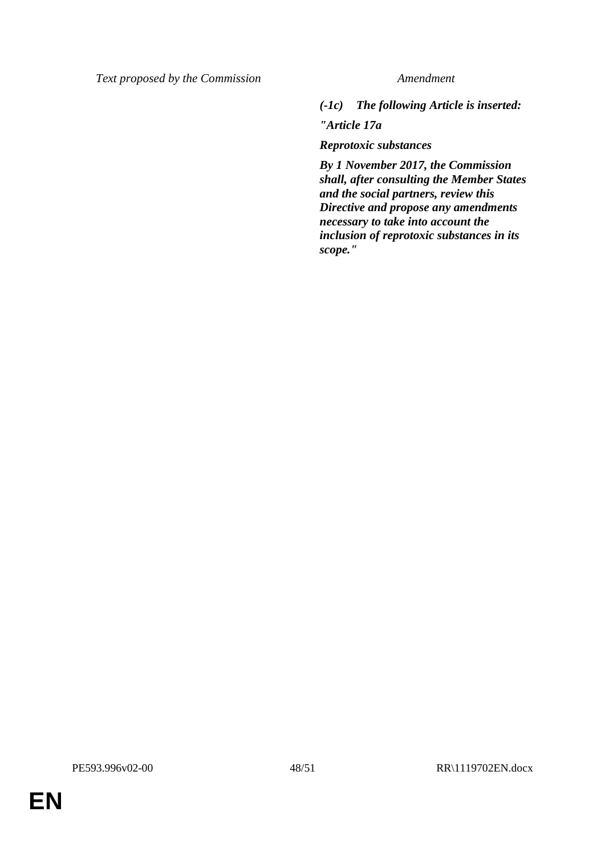*Text proposed by the Commission Amendment*

*(-1c) The following Article is inserted:*

*"Article 17a*

*Reprotoxic substances*

*By 1 November 2017, the Commission shall, after consulting the Member States and the social partners, review this Directive and propose any amendments necessary to take into account the inclusion of reprotoxic substances in its scope."*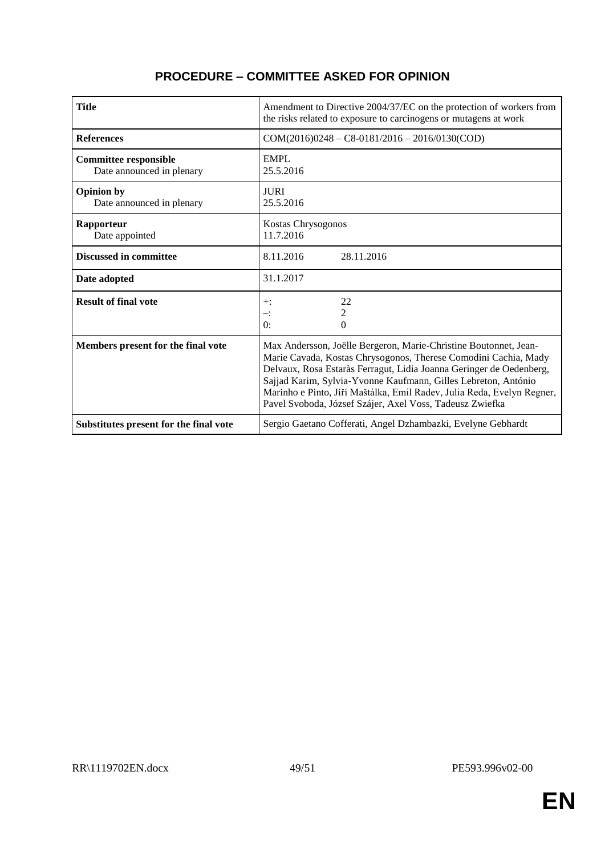| <b>Title</b>                                              | Amendment to Directive 2004/37/EC on the protection of workers from<br>the risks related to exposure to carcinogens or mutagens at work                                                                                                                                                                                                                                                                            |
|-----------------------------------------------------------|--------------------------------------------------------------------------------------------------------------------------------------------------------------------------------------------------------------------------------------------------------------------------------------------------------------------------------------------------------------------------------------------------------------------|
| <b>References</b>                                         | $COM(2016)0248 - C8 - 0181/2016 - 2016/0130(COD)$                                                                                                                                                                                                                                                                                                                                                                  |
| <b>Committee responsible</b><br>Date announced in plenary | <b>EMPL</b><br>25.5.2016                                                                                                                                                                                                                                                                                                                                                                                           |
| <b>Opinion by</b><br>Date announced in plenary            | <b>HIRI</b><br>25.5.2016                                                                                                                                                                                                                                                                                                                                                                                           |
| Rapporteur<br>Date appointed                              | Kostas Chrysogonos<br>11.7.2016                                                                                                                                                                                                                                                                                                                                                                                    |
| <b>Discussed in committee</b>                             | 8.11.2016<br>28.11.2016                                                                                                                                                                                                                                                                                                                                                                                            |
| Date adopted                                              | 31.1.2017                                                                                                                                                                                                                                                                                                                                                                                                          |
| <b>Result of final vote</b>                               | 22<br>$+$ :<br>2<br>∹.<br>$\theta$ :<br>$\Omega$                                                                                                                                                                                                                                                                                                                                                                   |
| Members present for the final vote                        | Max Andersson, Joëlle Bergeron, Marie-Christine Boutonnet, Jean-<br>Marie Cavada, Kostas Chrysogonos, Therese Comodini Cachia, Mady<br>Delvaux, Rosa Estaràs Ferragut, Lidia Joanna Geringer de Oedenberg,<br>Sajjad Karim, Sylvia-Yvonne Kaufmann, Gilles Lebreton, António<br>Marinho e Pinto, Jiří Maštálka, Emil Radev, Julia Reda, Evelyn Regner,<br>Pavel Svoboda, József Szájer, Axel Voss, Tadeusz Zwiefka |
| Substitutes present for the final vote                    | Sergio Gaetano Cofferati, Angel Dzhambazki, Evelyne Gebhardt                                                                                                                                                                                                                                                                                                                                                       |

# **PROCEDURE – COMMITTEE ASKED FOR OPINION**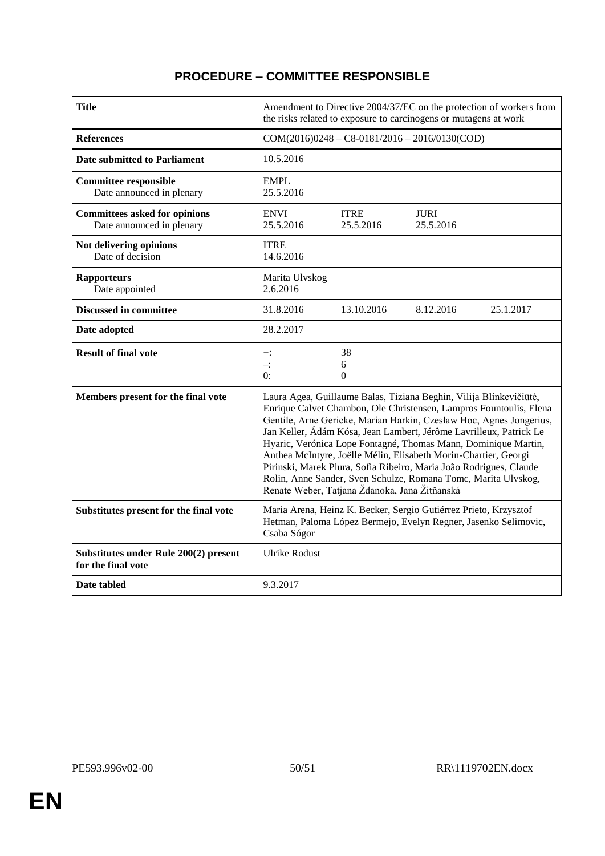# **PROCEDURE – COMMITTEE RESPONSIBLE**

| <b>Title</b>                                                      |                                                                                                                                                                                                                                                                                                                                                                                                                                                                                                                                                                                                                     |                           | Amendment to Directive 2004/37/EC on the protection of workers from<br>the risks related to exposure to carcinogens or mutagens at work |           |
|-------------------------------------------------------------------|---------------------------------------------------------------------------------------------------------------------------------------------------------------------------------------------------------------------------------------------------------------------------------------------------------------------------------------------------------------------------------------------------------------------------------------------------------------------------------------------------------------------------------------------------------------------------------------------------------------------|---------------------------|-----------------------------------------------------------------------------------------------------------------------------------------|-----------|
| <b>References</b>                                                 |                                                                                                                                                                                                                                                                                                                                                                                                                                                                                                                                                                                                                     |                           | $COM(2016)0248 - C8 - 0181/2016 - 2016/0130(COD)$                                                                                       |           |
| <b>Date submitted to Parliament</b>                               | 10.5.2016                                                                                                                                                                                                                                                                                                                                                                                                                                                                                                                                                                                                           |                           |                                                                                                                                         |           |
| <b>Committee responsible</b><br>Date announced in plenary         | <b>EMPL</b><br>25.5.2016                                                                                                                                                                                                                                                                                                                                                                                                                                                                                                                                                                                            |                           |                                                                                                                                         |           |
| <b>Committees asked for opinions</b><br>Date announced in plenary | <b>ENVI</b><br>25.5.2016                                                                                                                                                                                                                                                                                                                                                                                                                                                                                                                                                                                            | <b>ITRE</b><br>25.5.2016  | <b>JURI</b><br>25.5.2016                                                                                                                |           |
| Not delivering opinions<br>Date of decision                       | <b>ITRE</b><br>14.6.2016                                                                                                                                                                                                                                                                                                                                                                                                                                                                                                                                                                                            |                           |                                                                                                                                         |           |
| <b>Rapporteurs</b><br>Date appointed                              | Marita Ulvskog<br>2.6.2016                                                                                                                                                                                                                                                                                                                                                                                                                                                                                                                                                                                          |                           |                                                                                                                                         |           |
| <b>Discussed in committee</b>                                     | 31.8.2016                                                                                                                                                                                                                                                                                                                                                                                                                                                                                                                                                                                                           | 13.10.2016                | 8.12.2016                                                                                                                               | 25.1.2017 |
| Date adopted                                                      | 28.2.2017                                                                                                                                                                                                                                                                                                                                                                                                                                                                                                                                                                                                           |                           |                                                                                                                                         |           |
| <b>Result of final vote</b>                                       | $+$ :<br>$\overline{\phantom{a}}$ :<br>0:                                                                                                                                                                                                                                                                                                                                                                                                                                                                                                                                                                           | 38<br>6<br>$\overline{0}$ |                                                                                                                                         |           |
| Members present for the final vote                                | Laura Agea, Guillaume Balas, Tiziana Beghin, Vilija Blinkevičiūtė,<br>Enrique Calvet Chambon, Ole Christensen, Lampros Fountoulis, Elena<br>Gentile, Arne Gericke, Marian Harkin, Czesław Hoc, Agnes Jongerius,<br>Jan Keller, Ádám Kósa, Jean Lambert, Jérôme Lavrilleux, Patrick Le<br>Hyaric, Verónica Lope Fontagné, Thomas Mann, Dominique Martin,<br>Anthea McIntyre, Joëlle Mélin, Elisabeth Morin-Chartier, Georgi<br>Pirinski, Marek Plura, Sofia Ribeiro, Maria João Rodrigues, Claude<br>Rolin, Anne Sander, Sven Schulze, Romana Tomc, Marita Ulvskog,<br>Renate Weber, Tatjana Ždanoka, Jana Žitňanská |                           |                                                                                                                                         |           |
| Substitutes present for the final vote                            | Csaba Sógor                                                                                                                                                                                                                                                                                                                                                                                                                                                                                                                                                                                                         |                           | Maria Arena, Heinz K. Becker, Sergio Gutiérrez Prieto, Krzysztof<br>Hetman, Paloma López Bermejo, Evelyn Regner, Jasenko Selimovic,     |           |
| Substitutes under Rule 200(2) present<br>for the final vote       | <b>Ulrike Rodust</b>                                                                                                                                                                                                                                                                                                                                                                                                                                                                                                                                                                                                |                           |                                                                                                                                         |           |
| Date tabled                                                       | 9.3.2017                                                                                                                                                                                                                                                                                                                                                                                                                                                                                                                                                                                                            |                           |                                                                                                                                         |           |